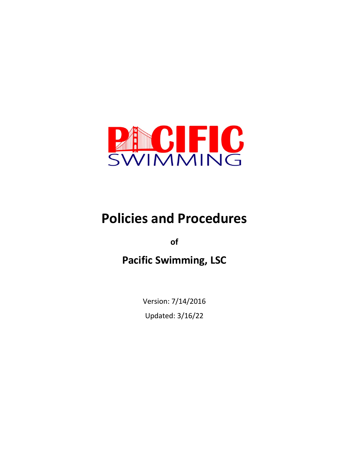

# **Policies and Procedures**

**of**

**Pacific Swimming, LSC**

Version: 7/14/2016 Updated: 3/16/22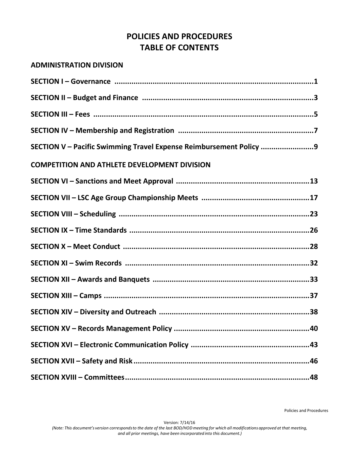# **POLICIES AND PROCEDURES TABLE OF CONTENTS**

# **ADMINISTRATION DIVISION**

| SECTION V - Pacific Swimming Travel Expense Reimbursement Policy 9 |
|--------------------------------------------------------------------|
| <b>COMPETITION AND ATHLETE DEVELOPMENT DIVISION</b>                |
|                                                                    |
|                                                                    |
|                                                                    |
|                                                                    |
|                                                                    |
|                                                                    |
|                                                                    |
|                                                                    |
|                                                                    |
|                                                                    |
|                                                                    |
|                                                                    |
|                                                                    |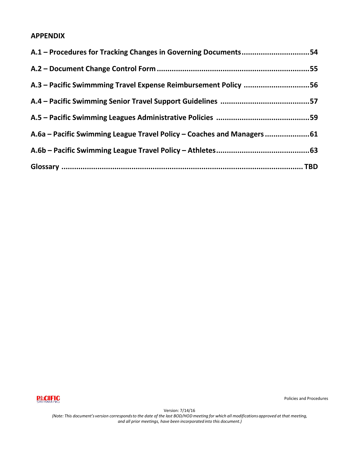# **APPENDIX**

| A.1 – Procedures for Tracking Changes in Governing Documents54        |  |
|-----------------------------------------------------------------------|--|
|                                                                       |  |
| A.3 – Pacific Swimmming Travel Expense Reimbursement Policy 56        |  |
|                                                                       |  |
|                                                                       |  |
| A.6a – Pacific Swimming League Travel Policy – Coaches and Managers61 |  |
|                                                                       |  |
|                                                                       |  |



Policies and Procedures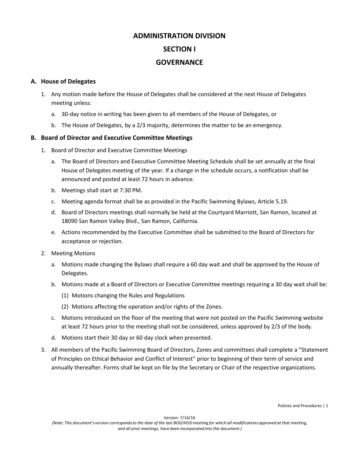# **ADMINISTRATION DIVISION SECTION I GOVERNANCE**

#### **A. House of Delegates**

- 1. Any motion made before the House of Delegates shall be considered at the next House of Delegates meeting unless:
	- a. 30-day notice in writing has been given to all members of the House of Delegates, or
	- b. The House of Delegates, by a 2/3 majority, determines the matter to be an emergency.

#### **B. Board of Director and Executive Committee Meetings**

- 1. Board of Director and Executive Committee Meetings
	- a. The Board of Directors and Executive Committee Meeting Schedule shall be set annually at the final House of Delegates meeting of the year. If a change in the schedule occurs, a notification shall be announced and posted at least 72 hours in advance.
	- b. Meetings shall start at 7:30 PM.
	- c. Meeting agenda format shall be as provided in the Pacific Swimming Bylaws, Article 5.19.
	- d. Board of Directors meetings shall normally be held at the Courtyard Marriott, San Ramon, located at 18090 San Ramon Valley Blvd., San Ramon, California.
	- e. Actions recommended by the Executive Committee shall be submitted to the Board of Directors for acceptance or rejection.
- 2. Meeting Motions
	- a. Motions made changing the Bylaws shall require a 60 day wait and shall be approved by the House of Delegates.
	- b. Motions made at a Board of Directors or Executive Committee meetings requiring a 30 day wait shall be:
		- (1) Motions changing the Rules and Regulations
		- (2) Motions affecting the operation and/or rights of the Zones.
	- c. Motions introduced on the floor of the meeting that were not posted on the Pacific Swimming website at least 72 hours prior to the meeting shall not be considered, unless approved by 2/3 of the body.
	- d. Motions start their 30 day or 60 day clock when presented.
- 3. All members of the Pacific Swimming Board of Directors, Zones and committees shall complete a "Statement of Principles on Ethical Behavior and Conflict of Interest" prior to beginning of their term of service and annually thereafter. Forms shall be kept on file by the Secretary or Chair of the respective organizations.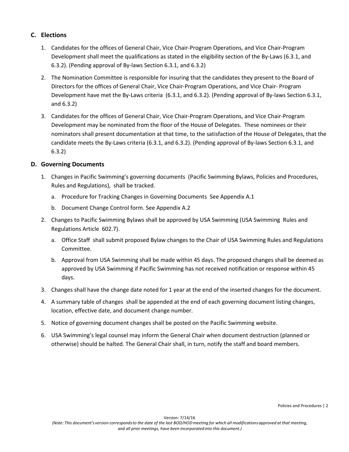#### **C. Elections**

- 1. Candidates for the offices of General Chair, Vice Chair-Program Operations, and Vice Chair-Program Development shall meet the qualifications as stated in the eligibility section of the By-Laws (6.3.1, and 6.3.2). (Pending approval of By-laws Section 6.3.1, and 6.3.2)
- 2. The Nomination Committee is responsible for insuring that the candidates they present to the Board of Directors for the offices of General Chair, Vice Chair-Program Operations, and Vice Chair- Program Development have met the By-Laws criteria (6.3.1, and 6.3.2). (Pending approval of By-laws Section 6.3.1, and 6.3.2)
- 3. Candidates for the offices of General Chair, Vice Chair-Program Operations, and Vice Chair-Program Development may be nominated from the floor of the House of Delegates. These nominees or their nominators shall present documentation at that time, to the satisfaction of the House of Delegates, that the candidate meets the By-Laws criteria (6.3.1, and 6.3.2). (Pending approval of By-laws Section 6.3.1, and 6.3.2)

#### **D. Governing Documents**

- 1. Changes in Pacific Swimming's governing documents (Pacific Swimming Bylaws, Policies and Procedures, Rules and Regulations), shall be tracked.
	- a. Procedure for Tracking Changes in Governing Documents See Appendix A.1
	- b. Document Change Control form. See Appendix A.2
- 2. Changes to Pacific Swimming Bylaws shall be approved by USA Swimming (USA Swimming Rules and Regulations Article 602.7).
	- a. Office Staff shall submit proposed Bylaw changes to the Chair of USA Swimming Rules and Regulations Committee.
	- b. Approval from USA Swimming shall be made within 45 days. The proposed changes shall be deemed as approved by USA Swimming if Pacific Swimming has not received notification or response within 45 days.
- 3. Changes shall have the change date noted for 1 year at the end of the inserted changes for the document.
- 4. A summary table of changes shall be appended at the end of each governing document listing changes, location, effective date, and document change number.
- 5. Notice of governing document changes shall be posted on the Pacific Swimming website.
- 6. USA Swimming's legal counsel may inform the General Chair when document destruction (planned or otherwise) should be halted. The General Chair shall, in turn, notify the staff and board members.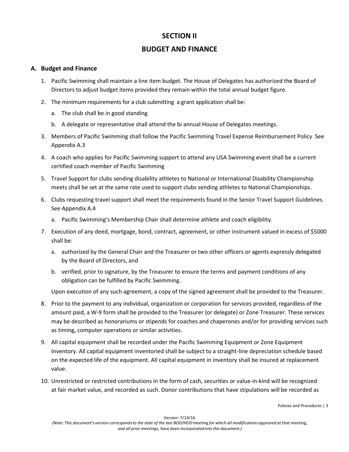# **SECTION II**

## **BUDGET AND FINANCE**

#### **A. Budget and Finance**

- 1. Pacific Swimming shall maintain a line item budget. The House of Delegates has authorized the Board of Directors to adjust budget items provided they remain within the total annual budget figure.
- 2. The minimum requirements for a club submitting a grant application shall be:
	- a. The club shall be in good standing
	- b. A delegate or representative shall attend the bi annual House of Delegates meetings.
- 3. Members of Pacific Swimming shall follow the Pacific Swimming Travel Expense Reimbursement Policy See Appendix A.3
- 4. A coach who applies for Pacific Swimming support to attend any USA Swimming event shall be a current certified coach member of Pacific Swimming
- 5. Travel Support for clubs sending disability athletes to National or International Disability Championship meets shall be set at the same rate used to support clubs sending athletes to National Championships.
- 6. Clubs requesting travel support shall meet the requirements found in the Senior Travel Support Guidelines. See Appendix A.4
	- a. Pacific Swimming's Membership Chair shall determine athlete and coach eligibility.
- 7. Execution of any deed, mortgage, bond, contract, agreement, or other instrument valued in excess of \$5000 shall be:
	- a. authorized by the General Chair and the Treasurer or two other officers or agents expressly delegated by the Board of Directors, and
	- b. verified, prior to signature, by the Treasurer to ensure the terms and payment conditions of any obligation can be fulfilled by Pacific Swimming.

Upon execution of any such agreement, a copy of the signed agreement shall be provided to the Treasurer.

- 8. Prior to the payment to any individual, organization or corporation for services provided, regardless of the amount paid, a W-9 form shall be provided to the Treasurer (or delegate) or Zone Treasurer. These services may be described as honorariums or stipends for coaches and chaperones and/or for providing services such as timing, computer operations or similar activities.
- 9. All capital equipment shall be recorded under the Pacific Swimming Equipment or Zone Equipment Inventory. All capital equipment inventoried shall be subject to a straight-line depreciation schedule based on the expected life of the equipment. All capital equipment in inventory shall be insured at replacement value.
- 10. Unrestricted or restricted contributions in the form of cash, securities or value-in-kind will be recognized at fair market value, and recorded as such. Donor contributions that have stipulations will be recorded as

Policies and Procedures | 3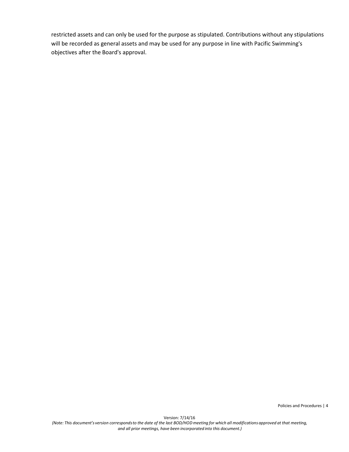restricted assets and can only be used for the purpose as stipulated. Contributions without any stipulations will be recorded as general assets and may be used for any purpose in line with Pacific Swimming's objectives after the Board's approval.

Policies and Procedures | 4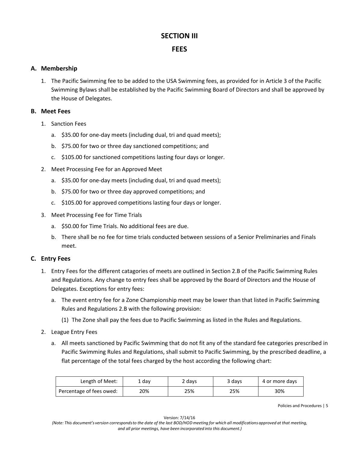# **SECTION III**

# **FEES**

#### **A. Membership**

1. The Pacific Swimming fee to be added to the USA Swimming fees, as provided for in Article 3 of the Pacific Swimming Bylaws shall be established by the Pacific Swimming Board of Directors and shall be approved by the House of Delegates.

#### **B. Meet Fees**

- 1. Sanction Fees
	- a. \$35.00 for one-day meets (including dual, tri and quad meets);
	- b. \$75.00 for two or three day sanctioned competitions; and
	- c. \$105.00 for sanctioned competitions lasting four days or longer.
- 2. Meet Processing Fee for an Approved Meet
	- a. \$35.00 for one-day meets (including dual, tri and quad meets);
	- b. \$75.00 for two or three day approved competitions; and
	- c. \$105.00 for approved competitions lasting four days or longer.
- 3. Meet Processing Fee for Time Trials
	- a. \$50.00 for Time Trials. No additional fees are due.
	- b. There shall be no fee for time trials conducted between sessions of a Senior Preliminaries and Finals meet.

#### **C. Entry Fees**

- 1. Entry Fees for the different catagories of meets are outlined in Section 2.B of the Pacific Swimming Rules and Regulations. Any change to entry fees shall be approved by the Board of Directors and the House of Delegates. Exceptions for entry fees:
	- a. The event entry fee for a Zone Championship meet may be lower than that listed in Pacific Swimming Rules and Regulations 2.B with the following provision:
		- (1) The Zone shall pay the fees due to Pacific Swimming as listed in the Rules and Regulations.
- 2. League Entry Fees
	- a. All meets sanctioned by Pacific Swimming that do not fit any of the standard fee categories prescribed in Pacific Swimming Rules and Regulations, shall submit to Pacific Swimming, by the prescribed deadline, a flat percentage of the total fees charged by the host according the following chart:

| Length of Meet:          | . dav | 2 davs | 3 days | 4 or more days |
|--------------------------|-------|--------|--------|----------------|
| Percentage of fees owed: | 20%   | 25%    | 25%    | 30%            |

Policies and Procedures | 5

Version: 7/14/16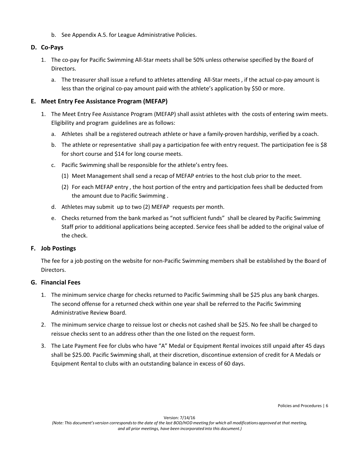b. See Appendix A.5. for League Administrative Policies.

#### **D. Co-Pays**

- 1. The co-pay for Pacific Swimming All-Star meets shall be 50% unless otherwise specified by the Board of Directors.
	- a. The treasurer shall issue a refund to athletes attending All-Star meets , if the actual co-pay amount is less than the original co-pay amount paid with the athlete's application by \$50 or more.

#### **E. Meet Entry Fee Assistance Program (MEFAP)**

- 1. The Meet Entry Fee Assistance Program (MEFAP) shall assist athletes with the costs of entering swim meets. Eligibility and program guidelines are as follows:
	- a. Athletes shall be a registered outreach athlete or have a family-proven hardship, verified by a coach.
	- b. The athlete or representative shall pay a participation fee with entry request. The participation fee is \$8 for short course and \$14 for long course meets.
	- c. Pacific Swimming shall be responsible for the athlete's entry fees.
		- (1) Meet Management shall send a recap of MEFAP entries to the host club prior to the meet.
		- (2) For each MEFAP entry , the host portion of the entry and participation fees shall be deducted from the amount due to Pacific Swimming .
	- d. Athletes may submit up to two (2) MEFAP requests per month.
	- e. Checks returned from the bank marked as "not sufficient funds" shall be cleared by Pacific Swimming Staff prior to additional applications being accepted. Service fees shall be added to the original value of the check.

#### **F. Job Postings**

The fee for a job posting on the website for non-Pacific Swimming members shall be established by the Board of Directors.

#### **G. Financial Fees**

- 1. The minimum service charge for checks returned to Pacific Swimming shall be \$25 plus any bank charges. The second offense for a returned check within one year shall be referred to the Pacific Swimming Administrative Review Board.
- 2. The minimum service charge to reissue lost or checks not cashed shall be \$25. No fee shall be charged to reissue checks sent to an address other than the one listed on the request form.
- 3. The Late Payment Fee for clubs who have "A" Medal or Equipment Rental invoices still unpaid after 45 days shall be \$25.00. Pacific Swimming shall, at their discretion, discontinue extension of credit for A Medals or Equipment Rental to clubs with an outstanding balance in excess of 60 days.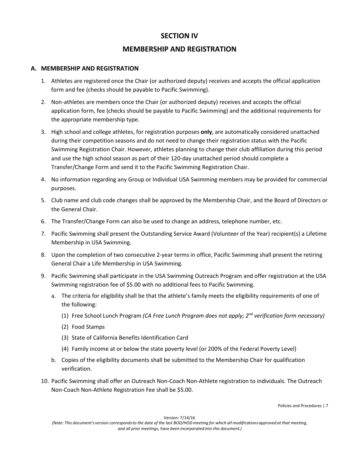# **SECTION IV**

# **MEMBERSHIP AND REGISTRATION**

#### **A. MEMBERSHIP AND REGISTRATION**

- 1. Athletes are registered once the Chair (or authorized deputy) receives and accepts the official application form and fee (checks should be payable to Pacific Swimming).
- 2. Non-athletes are members once the Chair (or authorized deputy) receives and accepts the official application form, fee (checks should be payable to Pacific Swimming) and the additional requirements for the appropriate membership type.
- 3. High school and college athletes, for registration purposes **only**, are automatically considered unattached during their competition seasons and do not need to change their registration status with the Pacific Swimming Registration Chair. However, athletes planning to change their club affiliation during this period and use the high school season as part of their 120-day unattached period should complete a Transfer/Change Form and send it to the Pacific Swimming Registration Chair.
- 4. No information regarding any Group or Individual USA Swimming members may be provided for commercial purposes.
- 5. Club name and club code changes shall be approved by the Membership Chair, and the Board of Directors or the General Chair.
- 6. The Transfer/Change Form can also be used to change an address, telephone number, etc.
- 7. Pacific Swimming shall present the Outstanding Service Award (Volunteer of the Year) recipient(s) a Lifetime Membership in USA Swimming.
- 8. Upon the completion of two consecutive 2-year terms in office, Pacific Swimming shall present the retiring General Chair a Life Membership in USA Swimming.
- 9. Pacific Swimming shall participate in the USA Swimming Outreach Program and offer registration at the USA Swimming registration fee of \$5.00 with no additional fees to Pacific Swimming.
	- a. The criteria for eligibility shall be that the athlete's family meets the eligibility requirements of one of the following:
		- (1) Free School Lunch Program *(CA Free Lunch Program does not apply; 2nd verification form necessary)*
		- (2) Food Stamps
		- (3) State of California Benefits Identification Card
		- (4) Family income at or below the state poverty level (or 200% of the Federal Poverty Level)
	- b. Copies of the eligibility documents shall be submitted to the Membership Chair for qualification verification.
- 10. Pacific Swimming shall offer an Outreach Non-Coach Non-Athlete registration to individuals. The Outreach Non-Coach Non-Athlete Registration Fee shall be \$5.00.

Policies and Procedures | 7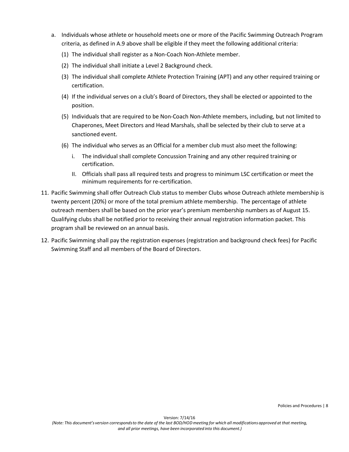- a. Individuals whose athlete or household meets one or more of the Pacific Swimming Outreach Program criteria, as defined in A.9 above shall be eligible if they meet the following additional criteria:
	- (1) The individual shall register as a Non-Coach Non-Athlete member.
	- (2) The individual shall initiate a Level 2 Background check.
	- (3) The individual shall complete Athlete Protection Training (APT) and any other required training or certification.
	- (4) If the individual serves on a club's Board of Directors, they shall be elected or appointed to the position.
	- (5) Individuals that are required to be Non-Coach Non-Athlete members, including, but not limited to Chaperones, Meet Directors and Head Marshals, shall be selected by their club to serve at a sanctioned event.
	- (6) The individual who serves as an Official for a member club must also meet the following:
		- i. The individual shall complete Concussion Training and any other required training or certification.
		- II. Officials shall pass all required tests and progress to minimum LSC certification or meet the minimum requirements for re-certification.
- 11. Pacific Swimming shall offer Outreach Club status to member Clubs whose Outreach athlete membership is twenty percent (20%) or more of the total premium athlete membership. The percentage of athlete outreach members shall be based on the prior year's premium membership numbers as of August 15. Qualifying clubs shall be notified prior to receiving their annual registration information packet. This program shall be reviewed on an annual basis.
- 12. Pacific Swimming shall pay the registration expenses (registration and background check fees) for Pacific Swimming Staff and all members of the Board of Directors.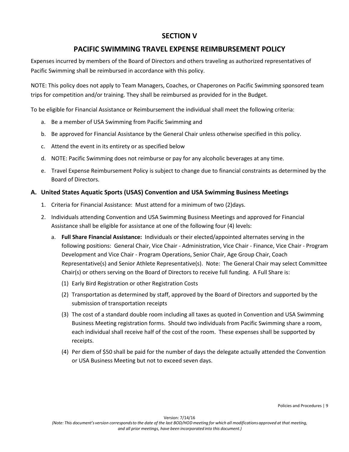# **SECTION V**

# **PACIFIC SWIMMING TRAVEL EXPENSE REIMBURSEMENT POLICY**

Expenses incurred by members of the Board of Directors and others traveling as authorized representatives of Pacific Swimming shall be reimbursed in accordance with this policy.

NOTE: This policy does not apply to Team Managers, Coaches, or Chaperones on Pacific Swimming sponsored team trips for competition and/or training. They shall be reimbursed as provided for in the Budget.

To be eligible for Financial Assistance or Reimbursement the individual shall meet the following criteria:

- a. Be a member of USA Swimming from Pacific Swimming and
- b. Be approved for Financial Assistance by the General Chair unless otherwise specified in this policy.
- c. Attend the event in its entirety or as specified below
- d. NOTE: Pacific Swimming does not reimburse or pay for any alcoholic beverages at any time.
- e. Travel Expense Reimbursement Policy is subject to change due to financial constraints as determined by the Board of Directors.

#### **A. United States Aquatic Sports (USAS) Convention and USA Swimming Business Meetings**

- 1. Criteria for Financial Assistance: Must attend for a minimum of two (2)days.
- 2. Individuals attending Convention and USA Swimming Business Meetings and approved for Financial Assistance shall be eligible for assistance at one of the following four (4) levels:
	- a. **Full Share Financial Assistance:** Individuals or their elected/appointed alternates serving in the following positions: General Chair, Vice Chair - Administration, Vice Chair - Finance, Vice Chair - Program Development and Vice Chair - Program Operations, Senior Chair, Age Group Chair, Coach Representative(s) and Senior Athlete Representative(s). Note: The General Chair may select Committee Chair(s) or others serving on the Board of Directors to receive full funding. A Full Share is:
		- (1) Early Bird Registration or other Registration Costs
		- (2) Transportation as determined by staff, approved by the Board of Directors and supported by the submission of transportation receipts
		- (3) The cost of a standard double room including all taxes as quoted in Convention and USA Swimming Business Meeting registration forms. Should two individuals from Pacific Swimming share a room, each individual shall receive half of the cost of the room. These expenses shall be supported by receipts.
		- (4) Per diem of \$50 shall be paid for the number of days the delegate actually attended the Convention or USA Business Meeting but not to exceed seven days.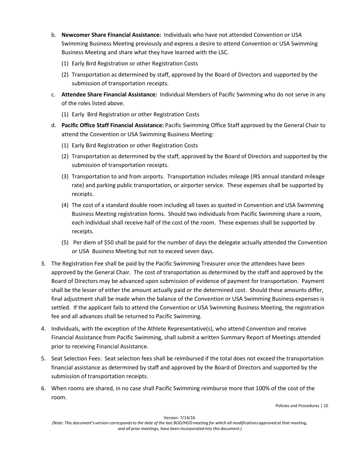- b. **Newcomer Share Financial Assistance:** Individuals who have not attended Convention or USA Swimming Business Meeting previously and express a desire to attend Convention or USA Swimming Business Meeting and share what they have learned with the LSC.
	- (1) Early Bird Registration or other Registration Costs
	- (2) Transportation as determined by staff, approved by the Board of Directors and supported by the submission of transportation receipts.
- c. **Attendee Share Financial Assistance:** Individual Members of Pacific Swimming who do not serve in any of the roles listed above.
	- (1) Early Bird Registration or other Registration Costs
- d. **Pacific Office Staff Financial Assistance:** Pacific Swimming Office Staff approved by the General Chair to attend the Convention or USA Swimming Business Meeting:
	- (1) Early Bird Registration or other Registration Costs
	- (2) Transportation as determined by the staff, approved by the Board of Directors and supported by the submission of transportation receipts.
	- (3) Transportation to and from airports. Transportation includes mileage (IRS annual standard mileage rate) and parking public transportation, or airporter service. These expenses shall be supported by receipts.
	- (4) The cost of a standard double room including all taxes as quoted in Convention and USA Swimming Business Meeting registration forms. Should two individuals from Pacific Swimming share a room, each individual shall receive half of the cost of the room. These expenses shall be supported by receipts.
	- (5) Per diem of \$50 shall be paid for the number of days the delegate actually attended the Convention or USA Business Meeting but not to exceed seven days.
- 3. The Registration Fee shall be paid by the Pacific Swimming Treasurer once the attendees have been approved by the General Chair. The cost of transportation as determined by the staff and approved by the Board of Directors may be advanced upon submission of evidence of payment for transportation. Payment shall be the lesser of either the amount actually paid or the determined cost. Should these amounts differ, final adjustment shall be made when the balance of the Convention or USA Swimming Business expenses is settled. If the applicant fails to attend the Convention or USA Swimming Business Meeting, the registration fee and all advances shall be returned to Pacific Swimming.
- 4. Individuals, with the exception of the Athlete Representative(s), who attend Convention and receive Financial Assistance from Pacific Swimming, shall submit a written Summary Report of Meetings attended prior to receiving Financial Assistance.
- 5. Seat Selection Fees: Seat selection fees shall be reimbursed if the total does not exceed the transportation financial assistance as determined by staff and approved by the Board of Directors and supported by the submission of transportation receipts.
- 6. When rooms are shared, in no case shall Pacific Swimming reimburse more that 100% of the cost of the room.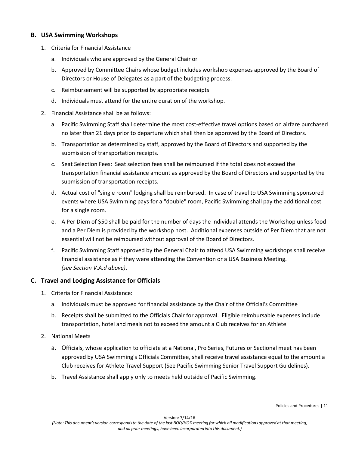#### **B. USA Swimming Workshops**

- 1. Criteria for Financial Assistance
	- a. Individuals who are approved by the General Chair or
	- b. Approved by Committee Chairs whose budget includes workshop expenses approved by the Board of Directors or House of Delegates as a part of the budgeting process.
	- c. Reimbursement will be supported by appropriate receipts
	- d. Individuals must attend for the entire duration of the workshop.
- 2. Financial Assistance shall be as follows:
	- a. Pacific Swimming Staff shall determine the most cost-effective travel options based on airfare purchased no later than 21 days prior to departure which shall then be approved by the Board of Directors.
	- b. Transportation as determined by staff, approved by the Board of Directors and supported by the submission of transportation receipts.
	- c. Seat Selection Fees: Seat selection fees shall be reimbursed if the total does not exceed the transportation financial assistance amount as approved by the Board of Directors and supported by the submission of transportation receipts.
	- d. Actual cost of "single room" lodging shall be reimbursed. In case of travel to USA Swimming sponsored events where USA Swimming pays for a "double" room, Pacific Swimming shall pay the additional cost for a single room.
	- e. A Per Diem of \$50 shall be paid for the number of days the individual attends the Workshop unless food and a Per Diem is provided by the workshop host. Additional expenses outside of Per Diem that are not essential will not be reimbursed without approval of the Board of Directors.
	- f. Pacific Swimming Staff approved by the General Chair to attend USA Swimming workshops shall receive financial assistance as if they were attending the Convention or a USA Business Meeting. *(see Section V.A.d above)*.

#### **C. Travel and Lodging Assistance for Officials**

- 1. Criteria for Financial Assistance:
	- a. Individuals must be approved for financial assistance by the Chair of the Official's Committee
	- b. Receipts shall be submitted to the Officials Chair for approval. Eligible reimbursable expenses include transportation, hotel and meals not to exceed the amount a Club receives for an Athlete
- 2. National Meets
	- a. Officials, whose application to officiate at a National, Pro Series, Futures or Sectional meet has been approved by USA Swimming's Officials Committee, shall receive travel assistance equal to the amount a Club receives for Athlete Travel Support (See Pacific Swimming Senior Travel Support Guidelines).
	- b. Travel Assistance shall apply only to meets held outside of Pacific Swimming.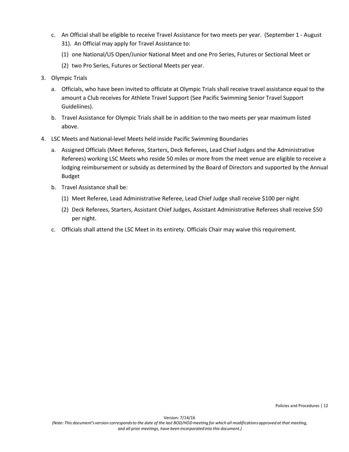- c. An Official shall be eligible to receive Travel Assistance for two meets per year. (September 1 August 31). An Official may apply for Travel Assistance to:
	- (1) one National/US Open/Junior National Meet and one Pro Series, Futures or Sectional Meet or
	- (2) two Pro Series, Futures or Sectional Meets per year.
- 3. Olympic Trials
	- a. Officials, who have been invited to officiate at Olympic Trials shall receive travel assistance equal to the amount a Club receives for Athlete Travel Support (See Pacific Swimming Senior Travel Support Guideliines).
	- b. Travel Assistance for Olympic Trials shall be in addition to the two meets per year maximum listed above.
- 4. LSC Meets and National-level Meets held inside Pacific Swimming Boundaries
	- a. Assigned Officials (Meet Referee, Starters, Deck Referees, Lead Chief Judges and the Administrative Referees) working LSC Meets who reside 50 miles or more from the meet venue are eligible to receive a lodging reimbursement or subsidy as determined by the Board of Directors and supported by the Annual Budget
	- b. Travel Assistance shall be:
		- (1) Meet Referee, Lead Administrative Referee, Lead Chief Judge shall receive \$100 per night
		- (2) Deck Referees, Starters, Assistant Chief Judges, Assistant Administrative Referees shall receive \$50 per night.
	- c. Officials shall attend the LSC Meet in its entirety. Officials Chair may waive this requirement.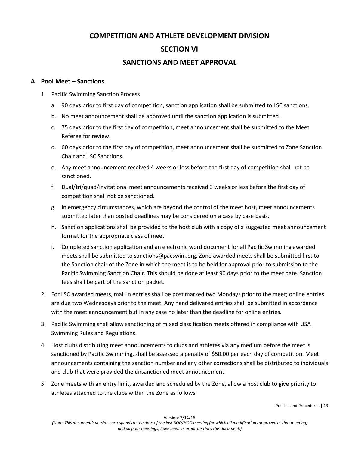# **COMPETITION AND ATHLETE DEVELOPMENT DIVISION SECTION VI**

# **SANCTIONS AND MEET APPROVAL**

#### **A. Pool Meet – Sanctions**

- 1. Pacific Swimming Sanction Process
	- a. 90 days prior to first day of competition, sanction application shall be submitted to LSC sanctions.
	- b. No meet announcement shall be approved until the sanction application is submitted.
	- c. 75 days prior to the first day of competition, meet announcement shall be submitted to the Meet Referee for review.
	- d. 60 days prior to the first day of competition, meet announcement shall be submitted to Zone Sanction Chair and LSC Sanctions.
	- e. Any meet announcement received 4 weeks or less before the first day of competition shall not be sanctioned.
	- f. Dual/tri/quad/invitational meet announcements received 3 weeks or less before the first day of competition shall not be sanctioned.
	- g. In emergency circumstances, which are beyond the control of the meet host, meet announcements submitted later than posted deadlines may be considered on a case by case basis.
	- h. Sanction applications shall be provided to the host club with a copy of a suggested meet announcement format for the appropriate class of meet.
	- i. Completed sanction application and an electronic word document for all Pacific Swimming awarded meets shall be submitted to sanctions@pacswim.org. Zone awarded meets shall be submitted first to the Sanction chair of the Zone in which the meet is to be held for approval prior to submission to the Pacific Swimming Sanction Chair. This should be done at least 90 days prior to the meet date. Sanction fees shall be part of the sanction packet.
- 2. For LSC awarded meets, mail in entries shall be post marked two Mondays prior to the meet; online entries are due two Wednesdays prior to the meet. Any hand delivered entries shall be submitted in accordance with the meet announcement but in any case no later than the deadline for online entries.
- 3. Pacific Swimming shall allow sanctioning of mixed classification meets offered in compliance with USA Swimming Rules and Regulations.
- 4. Host clubs distributing meet announcements to clubs and athletes via any medium before the meet is sanctioned by Pacific Swimming, shall be assessed a penalty of \$50.00 per each day of competition. Meet announcements containing the sanction number and any other corrections shall be distributed to individuals and club that were provided the unsanctioned meet announcement.
- 5. Zone meets with an entry limit, awarded and scheduled by the Zone, allow a host club to give priority to athletes attached to the clubs within the Zone as follows:

Policies and Procedures | 13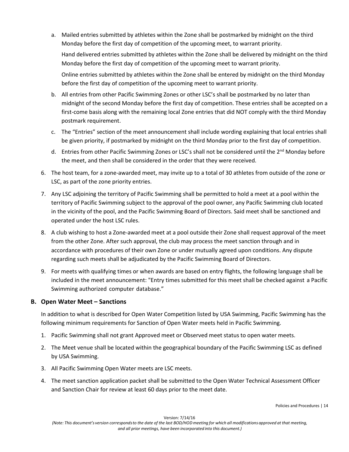a. Mailed entries submitted by athletes within the Zone shall be postmarked by midnight on the third Monday before the first day of competition of the upcoming meet, to warrant priority.

Hand delivered entries submitted by athletes within the Zone shall be delivered by midnight on the third Monday before the first day of competition of the upcoming meet to warrant priority.

Online entries submitted by athletes within the Zone shall be entered by midnight on the third Monday before the first day of competition of the upcoming meet to warrant priority.

- b. All entries from other Pacific Swimming Zones or other LSC's shall be postmarked by no later than midnight of the second Monday before the first day of competition. These entries shall be accepted on a first-come basis along with the remaining local Zone entries that did NOT comply with the third Monday postmark requirement.
- c. The "Entries" section of the meet announcement shall include wording explaining that local entries shall be given priority, if postmarked by midnight on the third Monday prior to the first day of competition.
- d. Entries from other Pacific Swimming Zones or LSC's shall not be considered until the 2<sup>nd</sup> Monday before the meet, and then shall be considered in the order that they were received.
- 6. The host team, for a zone-awarded meet, may invite up to a total of 30 athletes from outside of the zone or LSC, as part of the zone priority entries.
- 7. Any LSC adjoining the territory of Pacific Swimming shall be permitted to hold a meet at a pool within the territory of Pacific Swimming subject to the approval of the pool owner, any Pacific Swimming club located in the vicinity of the pool, and the Pacific Swimming Board of Directors. Said meet shall be sanctioned and operated under the host LSC rules.
- 8. A club wishing to host a Zone-awarded meet at a pool outside their Zone shall request approval of the meet from the other Zone. After such approval, the club may process the meet sanction through and in accordance with procedures of their own Zone or under mutually agreed upon conditions. Any dispute regarding such meets shall be adjudicated by the Pacific Swimming Board of Directors.
- 9. For meets with qualifying times or when awards are based on entry flights, the following language shall be included in the meet announcement: "Entry times submitted for this meet shall be checked against a Pacific Swimming authorized computer database."

### **B. Open Water Meet – Sanctions**

In addition to what is described for Open Water Competition listed by USA Swimming, Pacific Swimming has the following minimum requirements for Sanction of Open Water meets held in Pacific Swimming.

- 1. Pacific Swimming shall not grant Approved meet or Observed meet status to open water meets.
- 2. The Meet venue shall be located within the geographical boundary of the Pacific Swimming LSC as defined by USA Swimming.
- 3. All Pacific Swimming Open Water meets are LSC meets.
- 4. The meet sanction application packet shall be submitted to the Open Water Technical Assessment Officer and Sanction Chair for review at least 60 days prior to the meet date.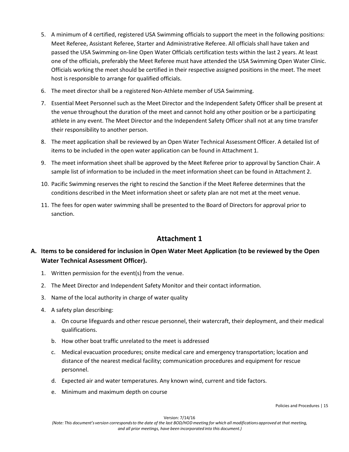- 5. A minimum of 4 certified, registered USA Swimming officials to support the meet in the following positions: Meet Referee, Assistant Referee, Starter and Administrative Referee. All officials shall have taken and passed the USA Swimming on-line Open Water Officials certification tests within the last 2 years. At least one of the officials, preferably the Meet Referee must have attended the USA Swimming Open Water Clinic. Officials working the meet should be certified in their respective assigned positions in the meet. The meet host is responsible to arrange for qualified officials.
- 6. The meet director shall be a registered Non-Athlete member of USA Swimming.
- 7. Essential Meet Personnel such as the Meet Director and the Independent Safety Officer shall be present at the venue throughout the duration of the meet and cannot hold any other position or be a participating athlete in any event. The Meet Director and the Independent Safety Officer shall not at any time transfer their responsibility to another person.
- 8. The meet application shall be reviewed by an Open Water Technical Assessment Officer. A detailed list of items to be included in the open water application can be found in Attachment 1.
- 9. The meet information sheet shall be approved by the Meet Referee prior to approval by Sanction Chair. A sample list of information to be included in the meet information sheet can be found in Attachment 2.
- 10. Pacific Swimming reserves the right to rescind the Sanction if the Meet Referee determines that the conditions described in the Meet information sheet or safety plan are not met at the meet venue.
- 11. The fees for open water swimming shall be presented to the Board of Directors for approval prior to sanction.

# **Attachment 1**

# **A. Items to be considered for inclusion in Open Water Meet Application (to be reviewed by the Open Water Technical Assessment Officer).**

- 1. Written permission for the event(s) from the venue.
- 2. The Meet Director and Independent Safety Monitor and their contact information.
- 3. Name of the local authority in charge of water quality
- 4. A safety plan describing:
	- a. On course lifeguards and other rescue personnel, their watercraft, their deployment, and their medical qualifications.
	- b. How other boat traffic unrelated to the meet is addressed
	- c. Medical evacuation procedures; onsite medical care and emergency transportation; location and distance of the nearest medical facility; communication procedures and equipment for rescue personnel.
	- d. Expected air and water temperatures. Any known wind, current and tide factors.
	- e. Minimum and maximum depth on course

Version: 7/14/16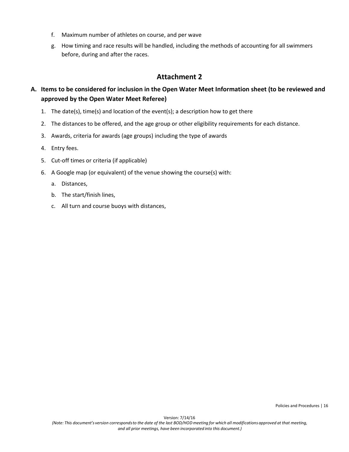- f. Maximum number of athletes on course, and per wave
- g. How timing and race results will be handled, including the methods of accounting for all swimmers before, during and after the races.

# **Attachment 2**

# **A. Items to be considered for inclusion in the Open Water Meet Information sheet (to be reviewed and approved by the Open Water Meet Referee)**

- 1. The date(s), time(s) and location of the event(s); a description how to get there
- 2. The distances to be offered, and the age group or other eligibility requirements for each distance.
- 3. Awards, criteria for awards (age groups) including the type of awards
- 4. Entry fees.
- 5. Cut-off times or criteria (if applicable)
- 6. A Google map (or equivalent) of the venue showing the course(s) with:
	- a. Distances,
	- b. The start/finish lines,
	- c. All turn and course buoys with distances,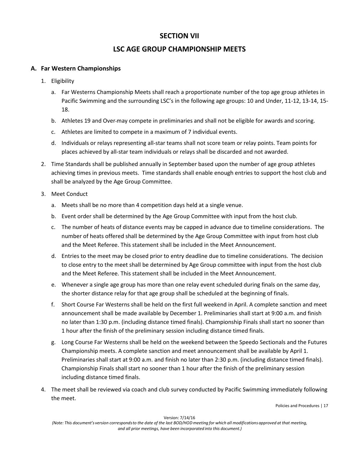# **SECTION VII**

# **LSC AGE GROUP CHAMPIONSHIP MEETS**

### **A. Far Western Championships**

- 1. Eligibility
	- a. Far Westerns Championship Meets shall reach a proportionate number of the top age group athletes in Pacific Swimming and the surrounding LSC's in the following age groups: 10 and Under, 11-12, 13-14, 15- 18.
	- b. Athletes 19 and Over may compete in preliminaries and shall not be eligible for awards and scoring.
	- c. Athletes are limited to compete in a maximum of 7 individual events.
	- d. Individuals or relays representing all-star teams shall not score team or relay points. Team points for places achieved by all-star team individuals or relays shall be discarded and not awarded.
- 2. Time Standards shall be published annually in September based upon the number of age group athletes achieving times in previous meets. Time standards shall enable enough entries to support the host club and shall be analyzed by the Age Group Committee.
- 3. Meet Conduct
	- a. Meets shall be no more than 4 competition days held at a single venue.
	- b. Event order shall be determined by the Age Group Committee with input from the host club.
	- c. The number of heats of distance events may be capped in advance due to timeline considerations. The number of heats offered shall be determined by the Age Group Committee with input from host club and the Meet Referee. This statement shall be included in the Meet Announcement.
	- d. Entries to the meet may be closed prior to entry deadline due to timeline considerations. The decision to close entry to the meet shall be determined by Age Group committee with input from the host club and the Meet Referee. This statement shall be included in the Meet Announcement.
	- e. Whenever a single age group has more than one relay event scheduled during finals on the same day, the shorter distance relay for that age group shall be scheduled at the beginning of finals.
	- f. Short Course Far Westerns shall be held on the first full weekend in April. A complete sanction and meet announcement shall be made available by December 1. Preliminaries shall start at 9:00 a.m. and finish no later than 1:30 p.m. (including distance timed finals). Championship Finals shall start no sooner than 1 hour after the finish of the preliminary session including distance timed finals.
	- g. Long Course Far Westerns shall be held on the weekend between the Speedo Sectionals and the Futures Championship meets. A complete sanction and meet announcement shall be available by April 1. Preliminaries shall start at 9:00 a.m. and finish no later than 2:30 p.m. (including distance timed finals). Championship Finals shall start no sooner than 1 hour after the finish of the preliminary session including distance timed finals.
- 4. The meet shall be reviewed via coach and club survey conducted by Pacific Swimming immediately following the meet.

Policies and Procedures | 17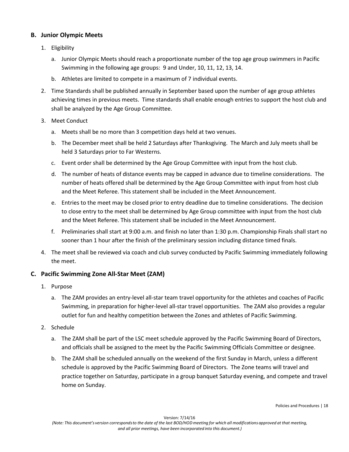#### **B. Junior Olympic Meets**

- 1. Eligibility
	- a. Junior Olympic Meets should reach a proportionate number of the top age group swimmers in Pacific Swimming in the following age groups: 9 and Under, 10, 11, 12, 13, 14.
	- b. Athletes are limited to compete in a maximum of 7 individual events.
- 2. Time Standards shall be published annually in September based upon the number of age group athletes achieving times in previous meets. Time standards shall enable enough entries to support the host club and shall be analyzed by the Age Group Committee.
- 3. Meet Conduct
	- a. Meets shall be no more than 3 competition days held at two venues.
	- b. The December meet shall be held 2 Saturdays after Thanksgiving. The March and July meets shall be held 3 Saturdays prior to Far Westerns.
	- c. Event order shall be determined by the Age Group Committee with input from the host club.
	- d. The number of heats of distance events may be capped in advance due to timeline considerations. The number of heats offered shall be determined by the Age Group Committee with input from host club and the Meet Referee. This statement shall be included in the Meet Announcement.
	- e. Entries to the meet may be closed prior to entry deadline due to timeline considerations. The decision to close entry to the meet shall be determined by Age Group committee with input from the host club and the Meet Referee. This statement shall be included in the Meet Announcement.
	- f. Preliminaries shall start at 9:00 a.m. and finish no later than 1:30 p.m. Championship Finals shall start no sooner than 1 hour after the finish of the preliminary session including distance timed finals.
- 4. The meet shall be reviewed via coach and club survey conducted by Pacific Swimming immediately following the meet.

### **C. Pacific Swimming Zone All-Star Meet (ZAM)**

- 1. Purpose
	- a. The ZAM provides an entry-level all-star team travel opportunity for the athletes and coaches of Pacific Swimming, in preparation for higher-level all-star travel opportunities. The ZAM also provides a regular outlet for fun and healthy competition between the Zones and athletes of Pacific Swimming.
- 2. Schedule
	- a. The ZAM shall be part of the LSC meet schedule approved by the Pacific Swimming Board of Directors, and officials shall be assigned to the meet by the Pacific Swimming Officials Committee or designee.
	- b. The ZAM shall be scheduled annually on the weekend of the first Sunday in March, unless a different schedule is approved by the Pacific Swimming Board of Directors. The Zone teams will travel and practice together on Saturday, participate in a group banquet Saturday evening, and compete and travel home on Sunday.

Policies and Procedures | 18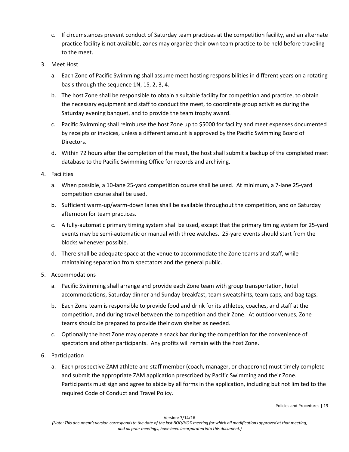- c. If circumstances prevent conduct of Saturday team practices at the competition facility, and an alternate practice facility is not available, zones may organize their own team practice to be held before traveling to the meet.
- 3. Meet Host
	- a. Each Zone of Pacific Swimming shall assume meet hosting responsibilities in different years on a rotating basis through the sequence 1N, 1S, 2, 3, 4.
	- b. The host Zone shall be responsible to obtain a suitable facility for competition and practice, to obtain the necessary equipment and staff to conduct the meet, to coordinate group activities during the Saturday evening banquet, and to provide the team trophy award.
	- c. Pacific Swimming shall reimburse the host Zone up to \$5000 for facility and meet expenses documented by receipts or invoices, unless a different amount is approved by the Pacific Swimming Board of Directors.
	- d. Within 72 hours after the completion of the meet, the host shall submit a backup of the completed meet database to the Pacific Swimming Office for records and archiving.
- 4. Facilities
	- a. When possible, a 10-lane 25-yard competition course shall be used. At minimum, a 7-lane 25-yard competition course shall be used.
	- b. Sufficient warm-up/warm-down lanes shall be available throughout the competition, and on Saturday afternoon for team practices.
	- c. A fully-automatic primary timing system shall be used, except that the primary timing system for 25-yard events may be semi-automatic or manual with three watches. 25-yard events should start from the blocks whenever possible.
	- d. There shall be adequate space at the venue to accommodate the Zone teams and staff, while maintaining separation from spectators and the general public.
- 5. Accommodations
	- a. Pacific Swimming shall arrange and provide each Zone team with group transportation, hotel accommodations, Saturday dinner and Sunday breakfast, team sweatshirts, team caps, and bag tags.
	- b. Each Zone team is responsible to provide food and drink for its athletes, coaches, and staff at the competition, and during travel between the competition and their Zone. At outdoor venues, Zone teams should be prepared to provide their own shelter as needed.
	- c. Optionally the host Zone may operate a snack bar during the competition for the convenience of spectators and other participants. Any profits will remain with the host Zone.
- 6. Participation
	- a. Each prospective ZAM athlete and staff member (coach, manager, or chaperone) must timely complete and submit the appropriate ZAM application prescribed by Pacific Swimming and their Zone. Participants must sign and agree to abide by all forms in the application, including but not limited to the required Code of Conduct and Travel Policy.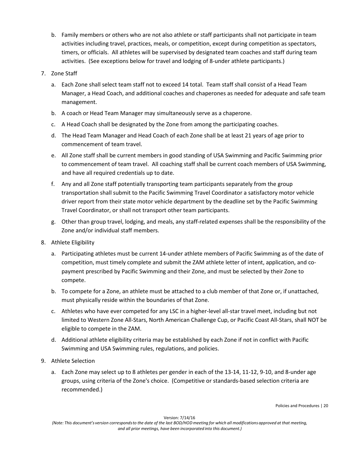b. Family members or others who are not also athlete or staff participants shall not participate in team activities including travel, practices, meals, or competition, except during competition as spectators, timers, or officials. All athletes will be supervised by designated team coaches and staff during team activities. (See exceptions below for travel and lodging of 8-under athlete participants.)

#### 7. Zone Staff

- a. Each Zone shall select team staff not to exceed 14 total. Team staff shall consist of a Head Team Manager, a Head Coach, and additional coaches and chaperones as needed for adequate and safe team management.
- b. A coach or Head Team Manager may simultaneously serve as a chaperone.
- c. A Head Coach shall be designated by the Zone from among the participating coaches.
- d. The Head Team Manager and Head Coach of each Zone shall be at least 21 years of age prior to commencement of team travel.
- e. All Zone staff shall be current members in good standing of USA Swimming and Pacific Swimming prior to commencement of team travel. All coaching staff shall be current coach members of USA Swimming, and have all required credentials up to date.
- f. Any and all Zone staff potentially transporting team participants separately from the group transportation shall submit to the Pacific Swimming Travel Coordinator a satisfactory motor vehicle driver report from their state motor vehicle department by the deadline set by the Pacific Swimming Travel Coordinator, or shall not transport other team participants.
- g. Other than group travel, lodging, and meals, any staff-related expenses shall be the responsibility of the Zone and/or individual staff members.
- 8. Athlete Eligibility
	- a. Participating athletes must be current 14-under athlete members of Pacific Swimming as of the date of competition, must timely complete and submit the ZAM athlete letter of intent, application, and copayment prescribed by Pacific Swimming and their Zone, and must be selected by their Zone to compete.
	- b. To compete for a Zone, an athlete must be attached to a club member of that Zone or, if unattached, must physically reside within the boundaries of that Zone.
	- c. Athletes who have ever competed for any LSC in a higher-level all-star travel meet, including but not limited to Western Zone All-Stars, North American Challenge Cup, or Pacific Coast All-Stars, shall NOT be eligible to compete in the ZAM.
	- d. Additional athlete eligibility criteria may be established by each Zone if not in conflict with Pacific Swimming and USA Swimming rules, regulations, and policies.
- 9. Athlete Selection
	- a. Each Zone may select up to 8 athletes per gender in each of the 13-14, 11-12, 9-10, and 8-under age groups, using criteria of the Zone's choice. (Competitive or standards-based selection criteria are recommended.)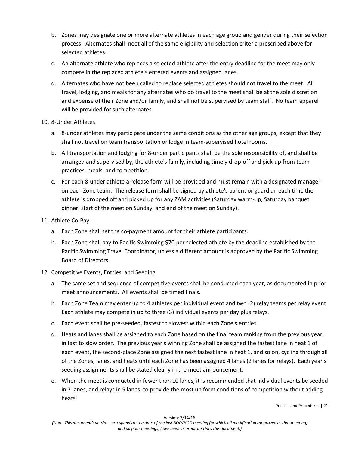- b. Zones may designate one or more alternate athletes in each age group and gender during their selection process. Alternates shall meet all of the same eligibility and selection criteria prescribed above for selected athletes.
- c. An alternate athlete who replaces a selected athlete after the entry deadline for the meet may only compete in the replaced athlete's entered events and assigned lanes.
- d. Alternates who have not been called to replace selected athletes should not travel to the meet. All travel, lodging, and meals for any alternates who do travel to the meet shall be at the sole discretion and expense of their Zone and/or family, and shall not be supervised by team staff. No team apparel will be provided for such alternates.

#### 10. 8-Under Athletes

- a. 8-under athletes may participate under the same conditions as the other age groups, except that they shall not travel on team transportation or lodge in team-supervised hotel rooms.
- b. All transportation and lodging for 8-under participants shall be the sole responsibility of, and shall be arranged and supervised by, the athlete's family, including timely drop-off and pick-up from team practices, meals, and competition.
- c. For each 8-under athlete a release form will be provided and must remain with a designated manager on each Zone team. The release form shall be signed by athlete's parent or guardian each time the athlete is dropped off and picked up for any ZAM activities (Saturday warm-up, Saturday banquet dinner, start of the meet on Sunday, and end of the meet on Sunday).

#### 11. Athlete Co-Pay

- a. Each Zone shall set the co-payment amount for their athlete participants.
- b. Each Zone shall pay to Pacific Swimming \$70 per selected athlete by the deadline established by the Pacific Swimming Travel Coordinator, unless a different amount is approved by the Pacific Swimming Board of Directors.

#### 12. Competitive Events, Entries, and Seeding

- a. The same set and sequence of competitive events shall be conducted each year, as documented in prior meet announcements. All events shall be timed finals.
- b. Each Zone Team may enter up to 4 athletes per individual event and two (2) relay teams per relay event. Each athlete may compete in up to three (3) individual events per day plus relays.
- c. Each event shall be pre-seeded, fastest to slowest within each Zone's entries.
- d. Heats and lanes shall be assigned to each Zone based on the final team ranking from the previous year, in fast to slow order. The previous year's winning Zone shall be assigned the fastest lane in heat 1 of each event, the second-place Zone assigned the next fastest lane in heat 1, and so on, cycling through all of the Zones, lanes, and heats until each Zone has been assigned 4 lanes (2 lanes for relays). Each year's seeding assignments shall be stated clearly in the meet announcement.
- e. When the meet is conducted in fewer than 10 lanes, it is recommended that individual events be seeded in 7 lanes, and relays in 5 lanes, to provide the most uniform conditions of competition without adding heats.

Policies and Procedures | 21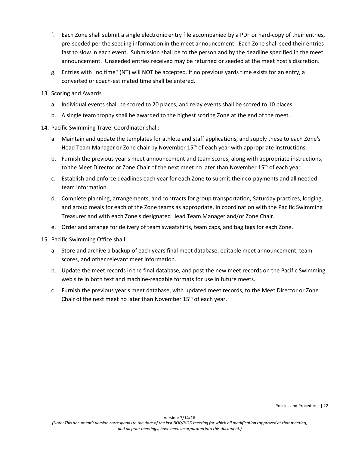- f. Each Zone shall submit a single electronic entry file accompanied by a PDF or hard-copy of their entries, pre-seeded per the seeding information in the meet announcement. Each Zone shall seed their entries fast to slow in each event. Submission shall be to the person and by the deadline specified in the meet announcement. Unseeded entries received may be returned or seeded at the meet host's discretion.
- g. Entries with "no time" (NT) will NOT be accepted. If no previous yards time exists for an entry, a converted or coach-estimated time shall be entered.
- 13. Scoring and Awards
	- a. Individual events shall be scored to 20 places, and relay events shall be scored to 10 places.
	- b. A single team trophy shall be awarded to the highest scoring Zone at the end of the meet.
- 14. Pacific Swimming Travel Coordinator shall:
	- a. Maintain and update the templates for athlete and staff applications, and supply these to each Zone's Head Team Manager or Zone chair by November 15<sup>th</sup> of each year with appropriate instructions.
	- b. Furnish the previous year's meet announcement and team scores, along with appropriate instructions, to the Meet Director or Zone Chair of the next meet no later than November  $15<sup>th</sup>$  of each year.
	- c. Establish and enforce deadlines each year for each Zone to submit their co-payments and all needed team information.
	- d. Complete planning, arrangements, and contracts for group transportation, Saturday practices, lodging, and group meals for each of the Zone teams as appropriate, in coordination with the Pacific Swimming Treasurer and with each Zone's designated Head Team Manager and/or Zone Chair.
	- e. Order and arrange for delivery of team sweatshirts, team caps, and bag tags for each Zone.
- 15. Pacific Swimming Office shall:
	- a. Store and archive a backup of each years final meet database, editable meet announcement, team scores, and other relevant meet information.
	- b. Update the meet records in the final database, and post the new meet records on the Pacific Swimming web site in both text and machine-readable formats for use in future meets.
	- c. Furnish the previous year's meet database, with updated meet records, to the Meet Director or Zone Chair of the next meet no later than November  $15<sup>th</sup>$  of each year.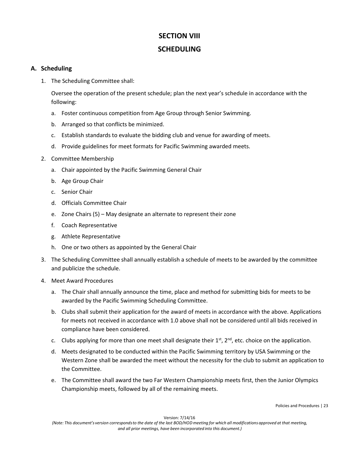# **SECTION VIII SCHEDULING**

#### **A. Scheduling**

1. The Scheduling Committee shall:

Oversee the operation of the present schedule; plan the next year's schedule in accordance with the following:

- a. Foster continuous competition from Age Group through Senior Swimming.
- b. Arranged so that conflicts be minimized.
- c. Establish standards to evaluate the bidding club and venue for awarding of meets.
- d. Provide guidelines for meet formats for Pacific Swimming awarded meets.
- 2. Committee Membership
	- a. Chair appointed by the Pacific Swimming General Chair
	- b. Age Group Chair
	- c. Senior Chair
	- d. Officials Committee Chair
	- e. Zone Chairs (5) May designate an alternate to represent their zone
	- f. Coach Representative
	- g. Athlete Representative
	- h. One or two others as appointed by the General Chair
- 3. The Scheduling Committee shall annually establish a schedule of meets to be awarded by the committee and publicize the schedule.
- 4. Meet Award Procedures
	- a. The Chair shall annually announce the time, place and method for submitting bids for meets to be awarded by the Pacific Swimming Scheduling Committee.
	- b. Clubs shall submit their application for the award of meets in accordance with the above. Applications for meets not received in accordance with 1.0 above shall not be considered until all bids received in compliance have been considered.
	- c. Clubs applying for more than one meet shall designate their  $1<sup>st</sup>$ ,  $2<sup>nd</sup>$ , etc. choice on the application.
	- d. Meets designated to be conducted within the Pacific Swimming territory by USA Swimming or the Western Zone shall be awarded the meet without the necessity for the club to submit an application to the Committee.
	- e. The Committee shall award the two Far Western Championship meets first, then the Junior Olympics Championship meets, followed by all of the remaining meets.

Policies and Procedures | 23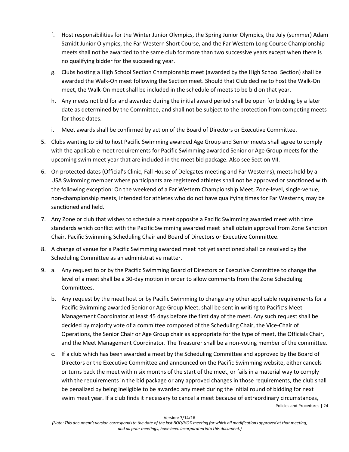- f. Host responsibilities for the Winter Junior Olympics, the Spring Junior Olympics, the July (summer) Adam Szmidt Junior Olympics, the Far Western Short Course, and the Far Western Long Course Championship meets shall not be awarded to the same club for more than two successive years except when there is no qualifying bidder for the succeeding year.
- g. Clubs hosting a High School Section Championship meet (awarded by the High School Section) shall be awarded the Walk-On meet following the Section meet. Should that Club decline to host the Walk-On meet, the Walk-On meet shall be included in the schedule of meets to be bid on that year.
- h. Any meets not bid for and awarded during the initial award period shall be open for bidding by a later date as determined by the Committee, and shall not be subject to the protection from competing meets for those dates.
- i. Meet awards shall be confirmed by action of the Board of Directors or Executive Committee.
- 5. Clubs wanting to bid to host Pacific Swimming awarded Age Group and Senior meets shall agree to comply with the applicable meet requirements for Pacific Swimming awarded Senior or Age Group meets for the upcoming swim meet year that are included in the meet bid package. Also see Section VII.
- 6. On protected dates (Official's Clinic, Fall House of Delegates meeting and Far Westerns), meets held by a USA Swimming member where participants are registered athletes shall not be approved or sanctioned with the following exception: On the weekend of a Far Western Championship Meet, Zone-level, single-venue, non-championship meets, intended for athletes who do not have qualifying times for Far Westerns, may be sanctioned and held.
- 7. Any Zone or club that wishes to schedule a meet opposite a Pacific Swimming awarded meet with time standards which conflict with the Pacific Swimming awarded meet shall obtain approval from Zone Sanction Chair, Pacific Swimming Scheduling Chair and Board of Directors or Executive Committee.
- 8. A change of venue for a Pacific Swimming awarded meet not yet sanctioned shall be resolved by the Scheduling Committee as an administrative matter.
- 9. a. Any request to or by the Pacific Swimming Board of Directors or Executive Committee to change the level of a meet shall be a 30-day motion in order to allow comments from the Zone Scheduling Committees.
	- b. Any request by the meet host or by Pacific Swimming to change any other applicable requirements for a Pacific Swimming-awarded Senior or Age Group Meet, shall be sent in writing to Pacific's Meet Management Coordinator at least 45 days before the first day of the meet. Any such request shall be decided by majority vote of a committee composed of the Scheduling Chair, the Vice-Chair of Operations, the Senior Chair or Age Group chair as appropriate for the type of meet, the Officials Chair, and the Meet Management Coordinator. The Treasurer shall be a non-voting member of the committee.
	- c. If a club which has been awarded a meet by the Scheduling Committee and approved by the Board of Directors or the Executive Committee and announced on the Pacific Swimming website, either cancels or turns back the meet within six months of the start of the meet, or fails in a material way to comply with the requirements in the bid package or any approved changes in those requirements, the club shall be penalized by being ineligible to be awarded any meet during the initial round of bidding for next swim meet year. If a club finds it necessary to cancel a meet because of extraordinary circumstances,

Policies and Procedures | 24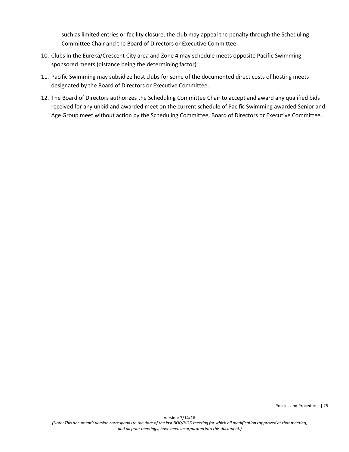such as limited entries or facility closure, the club may appeal the penalty through the Scheduling Committee Chair and the Board of Directors or Executive Committee.

- 10. Clubs in the Eureka/Crescent City area and Zone 4 may schedule meets opposite Pacific Swimming sponsored meets (distance being the determining factor).
- 11. Pacific Swimming may subsidize host clubs for some of the documented direct costs of hosting meets designated by the Board of Directors or Executive Committee.
- 12. The Board of Directors authorizes the Scheduling Committee Chair to accept and award any qualified bids received for any unbid and awarded meet on the current schedule of Pacific Swimming awarded Senior and Age Group meet without action by the Scheduling Committee, Board of Directors or Executive Committee.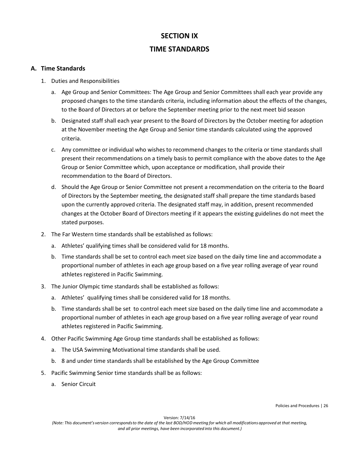# **SECTION IX TIME STANDARDS**

#### **A. Time Standards**

- 1. Duties and Responsibilities
	- a. Age Group and Senior Committees: The Age Group and Senior Committees shall each year provide any proposed changes to the time standards criteria, including information about the effects of the changes, to the Board of Directors at or before the September meeting prior to the next meet bid season
	- b. Designated staff shall each year present to the Board of Directors by the October meeting for adoption at the November meeting the Age Group and Senior time standards calculated using the approved criteria.
	- c. Any committee or individual who wishes to recommend changes to the criteria or time standards shall present their recommendations on a timely basis to permit compliance with the above dates to the Age Group or Senior Committee which, upon acceptance or modification, shall provide their recommendation to the Board of Directors.
	- d. Should the Age Group or Senior Committee not present a recommendation on the criteria to the Board of Directors by the September meeting, the designated staff shall prepare the time standards based upon the currently approved criteria. The designated staff may, in addition, present recommended changes at the October Board of Directors meeting if it appears the existing guidelines do not meet the stated purposes.
- 2. The Far Western time standards shall be established as follows:
	- a. Athletes' qualifying times shall be considered valid for 18 months.
	- b. Time standards shall be set to control each meet size based on the daily time line and accommodate a proportional number of athletes in each age group based on a five year rolling average of year round athletes registered in Pacific Swimming.
- 3. The Junior Olympic time standards shall be established as follows:
	- a. Athletes' qualifying times shall be considered valid for 18 months.
	- b. Time standards shall be set to control each meet size based on the daily time line and accommodate a proportional number of athletes in each age group based on a five year rolling average of year round athletes registered in Pacific Swimming.
- 4. Other Pacific Swimming Age Group time standards shall be established as follows:
	- a. The USA Swimming Motivational time standards shall be used.
	- b. 8 and under time standards shall be established by the Age Group Committee
- 5. Pacific Swimming Senior time standards shall be as follows:
	- a. Senior Circuit

Policies and Procedures | 26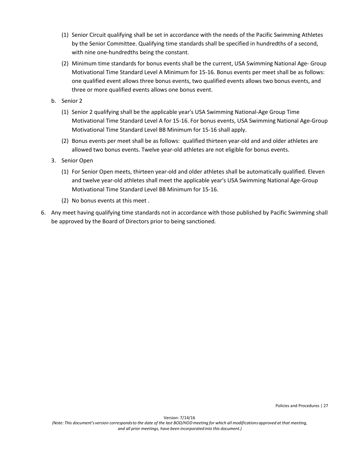- (1) Senior Circuit qualifying shall be set in accordance with the needs of the Pacific Swimming Athletes by the Senior Committee. Qualifying time standards shall be specified in hundredths of a second, with nine one-hundredths being the constant.
- (2) Minimum time standards for bonus events shall be the current, USA Swimming National Age- Group Motivational Time Standard Level A Minimum for 15-16. Bonus events per meet shall be as follows: one qualified event allows three bonus events, two qualified events allows two bonus events, and three or more qualified events allows one bonus event.
- b. Senior 2
	- (1) Senior 2 qualifying shall be the applicable year's USA Swimming National-Age Group Time Motivational Time Standard Level A for 15-16. For bonus events, USA Swimming National Age-Group Motivational Time Standard Level BB Minimum for 15-16 shall apply.
	- (2) Bonus events per meet shall be as follows: qualified thirteen year-old and and older athletes are allowed two bonus events. Twelve year-old athletes are not eligible for bonus events.
- 3. Senior Open
	- (1) For Senior Open meets, thirteen year-old and older athletes shall be automatically qualified. Eleven and twelve year-old athletes shall meet the applicable year's USA Swimming National Age-Group Motivational Time Standard Level BB Minimum for 15-16.
	- (2) No bonus events at this meet .
- 6. Any meet having qualifying time standards not in accordance with those published by Pacific Swimming shall be approved by the Board of Directors prior to being sanctioned*.*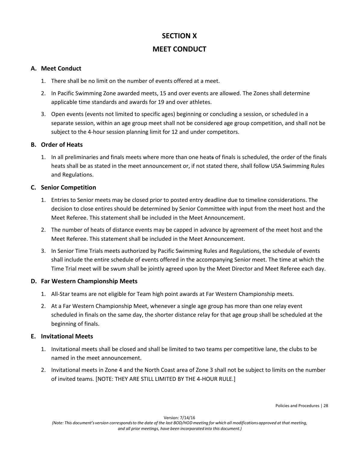# **SECTION X**

# **MEET CONDUCT**

#### **A. Meet Conduct**

- 1. There shall be no limit on the number of events offered at a meet.
- 2. In Pacific Swimming Zone awarded meets, 15 and over events are allowed. The Zones shall determine applicable time standards and awards for 19 and over athletes.
- 3. Open events (events not limited to specific ages) beginning or concluding a session, or scheduled in a separate session, within an age group meet shall not be considered age group competition, and shall not be subject to the 4-hour session planning limit for 12 and under competitors.

#### **B. Order of Heats**

1. In all preliminaries and finals meets where more than one heats of finals is scheduled, the order of the finals heats shall be as stated in the meet announcement or, if not stated there, shall follow USA Swimming Rules and Regulations.

#### **C. Senior Competition**

- 1. Entries to Senior meets may be closed prior to posted entry deadline due to timeline considerations. The decision to close entires should be determined by Senior Committee with input from the meet host and the Meet Referee. This statement shall be included in the Meet Announcement.
- 2. The number of heats of distance events may be capped in advance by agreement of the meet host and the Meet Referee. This statement shall be included in the Meet Announcement.
- 3. In Senior Time Trials meets authorized by Pacific Swimming Rules and Regulations, the schedule of events shall include the entire schedule of events offered in the accompanying Senior meet. The time at which the Time Trial meet will be swum shall be jointly agreed upon by the Meet Director and Meet Referee each day.

#### **D. Far Western Championship Meets**

- 1. All-Star teams are not eligible for Team high point awards at Far Western Championship meets.
- 2. At a Far Western Championship Meet, whenever a single age group has more than one relay event scheduled in finals on the same day, the shorter distance relay for that age group shall be scheduled at the beginning of finals.

#### **E. Invitational Meets**

- 1. Invitational meets shall be closed and shall be limited to two teams per competitive lane, the clubs to be named in the meet announcement.
- 2. Invitational meets in Zone 4 and the North Coast area of Zone 3 shall not be subject to limits on the number of invited teams. [NOTE: THEY ARE STILL LIMITED BY THE 4-HOUR RULE.]

Policies and Procedures | 28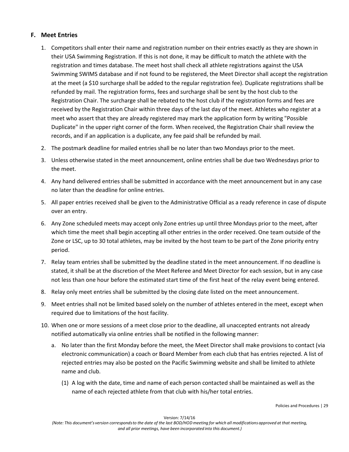#### **F. Meet Entries**

- 1. Competitors shall enter their name and registration number on their entries exactly as they are shown in their USA Swimming Registration. If this is not done, it may be difficult to match the athlete with the registration and times database. The meet host shall check all athlete registrations against the USA Swimming SWIMS database and if not found to be registered, the Meet Director shall accept the registration at the meet (a \$10 surcharge shall be added to the regular registration fee). Duplicate registrations shall be refunded by mail. The registration forms, fees and surcharge shall be sent by the host club to the Registration Chair. The surcharge shall be rebated to the host club if the registration forms and fees are received by the Registration Chair within three days of the last day of the meet. Athletes who register at a meet who assert that they are already registered may mark the application form by writing "Possible Duplicate" in the upper right corner of the form. When received, the Registration Chair shall review the records, and if an application is a duplicate, any fee paid shall be refunded by mail.
- 2. The postmark deadline for mailed entries shall be no later than two Mondays prior to the meet.
- 3. Unless otherwise stated in the meet announcement, online entries shall be due two Wednesdays prior to the meet.
- 4. Any hand delivered entries shall be submitted in accordance with the meet announcement but in any case no later than the deadline for online entries.
- 5. All paper entries received shall be given to the Administrative Official as a ready reference in case of dispute over an entry.
- 6. Any Zone scheduled meets may accept only Zone entries up until three Mondays prior to the meet, after which time the meet shall begin accepting all other entries in the order received. One team outside of the Zone or LSC, up to 30 total athletes, may be invited by the host team to be part of the Zone priority entry period.
- 7. Relay team entries shall be submitted by the deadline stated in the meet announcement. If no deadline is stated, it shall be at the discretion of the Meet Referee and Meet Director for each session, but in any case not less than one hour before the estimated start time of the first heat of the relay event being entered.
- 8. Relay only meet entries shall be submitted by the closing date listed on the meet announcement.
- 9. Meet entries shall not be limited based solely on the number of athletes entered in the meet, except when required due to limitations of the host facility.
- 10. When one or more sessions of a meet close prior to the deadline, all unaccepted entrants not already notified automatically via online entries shall be notified in the following manner:
	- a. No later than the first Monday before the meet, the Meet Director shall make provisions to contact (via electronic communication) a coach or Board Member from each club that has entries rejected. A list of rejected entries may also be posted on the Pacific Swimming website and shall be limited to athlete name and club.
		- (1) A log with the date, time and name of each person contacted shall be maintained as well as the name of each rejected athlete from that club with his/her total entries.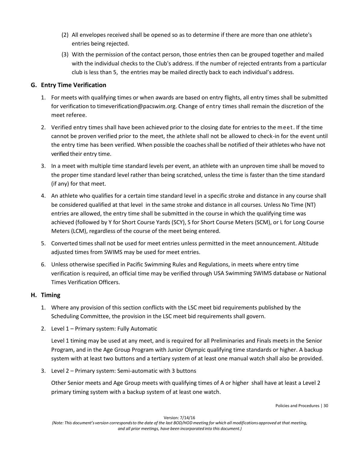- (2) All envelopes received shall be opened so as to determine if there are more than one athlete's entries being rejected.
- (3) With the permission of the contact person, those entries then can be grouped together and mailed with the individual checks to the Club's address. If the number of rejected entrants from a particular club is less than 5, the entries may be mailed directly back to each individual's address.

#### **G. Entry Time Verification**

- 1. For meets with qualifying times or when awards are based on entry flights, all entry times shall be submitted for verification to timeverification@pacswim.org. Change of entry times shall remain the discretion of the meet referee.
- 2. Verified entry times shall have been achieved prior to the closing date for entries to the meet. If the time cannot be proven verified prior to the meet, the athlete shall not be allowed to check-in for the event until the entry time has been verified. When possible the coachesshall be notified of their athletes who have not verified their entry time.
- 3. In a meet with multiple time standard levels per event, an athlete with an unproven time shall be moved to the proper time standard level rather than being scratched, unless the time is faster than the time standard (if any) for that meet.
- 4. An athlete who qualifies for a certain time standard level in a specific stroke and distance in any course shall be considered qualified at that level in the same stroke and distance in all courses. Unless No Time (NT) entries are allowed, the entry time shall be submitted in the course in which the qualifying time was achieved (followed by Y for Short Course Yards (SCY), S for Short Course Meters (SCM), or L for Long Course Meters (LCM), regardless of the course of the meet being entered.
- 5. Converted times shall not be used for meet entries unless permitted in the meet announcement. Altitude adjusted times from SWIMS may be used for meet entries.
- 6. Unless otherwise specified in Pacific Swimming Rules and Regulations, in meets where entry time verification is required, an official time may be verified through USA Swimming SWIMS database or National Times Verification Officers.

#### **H. Timing**

- 1. Where any provision of this section conflicts with the LSC meet bid requirements published by the Scheduling Committee, the provision in the LSC meet bid requirements shall govern.
- 2. Level 1 Primary system: Fully Automatic

Level 1 timing may be used at any meet, and is required for all Preliminaries and Finals meets in the Senior Program, and in the Age Group Program with Junior Olympic qualifying time standards or higher. A backup system with at least two buttons and a tertiary system of at least one manual watch shall also be provided.

3. Level 2 – Primary system: Semi-automatic with 3 buttons

Other Senior meets and Age Group meets with qualifying times of A or higher shall have at least a Level 2 primary timing system with a backup system of at least one watch.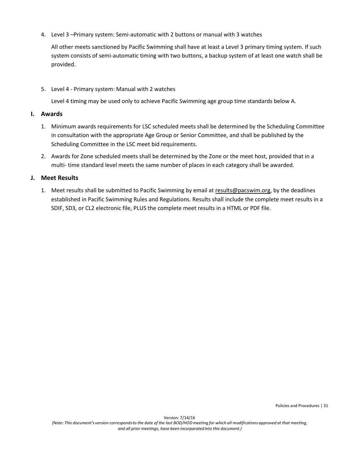4. Level 3 –Primary system: Semi-automatic with 2 buttons or manual with 3 watches

All other meets sanctioned by Pacific Swimming shall have at least a Level 3 primary timing system. If such system consists of semi-automatic timing with two buttons, a backup system of at least one watch shall be provided.

5. Level 4 - Primary system: Manual with 2 watches

Level 4 timing may be used only to achieve Pacific Swimming age group time standards below A.

#### **I. Awards**

- 1. Minimum awards requirements for LSC scheduled meets shall be determined by the Scheduling Committee in consultation with the appropriate Age Group or Senior Committee, and shall be published by the Scheduling Committee in the LSC meet bid requirements.
- 2. Awards for Zone scheduled meets shall be determined by the Zone or the meet host, provided that in a multi- time standard level meets the same number of places in each category shall be awarded.

#### **J. Meet Results**

1. Meet results shall be submitted to Pacific Swimming by email a[t results@pacswim.org,](mailto:results@pacswim.org) by the deadlines established in Pacific Swimming Rules and Regulations. Results shall include the complete meet results in a SDIF, SD3, or CL2 electronic file, PLUS the complete meet results in a HTML or PDF file.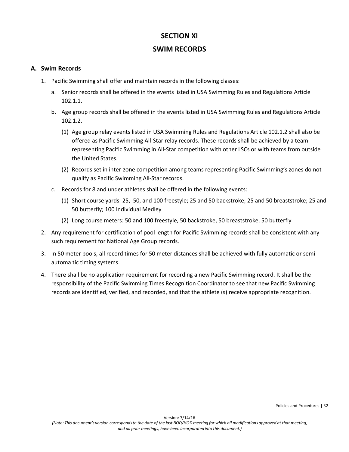# **SECTION XI**

### **SWIM RECORDS**

#### **A. Swim Records**

- 1. Pacific Swimming shall offer and maintain records in the following classes:
	- a. Senior records shall be offered in the events listed in USA Swimming Rules and Regulations Article 102.1.1.
	- b. Age group records shall be offered in the events listed in USA Swimming Rules and Regulations Article 102.1.2.
		- (1) Age group relay events listed in USA Swimming Rules and Regulations Article 102.1.2 shall also be offered as Pacific Swimming All-Star relay records. These records shall be achieved by a team representing Pacific Swimming in All-Star competition with other LSCs or with teams from outside the United States.
		- (2) Records set in inter-zone competition among teams representing Pacific Swimming's zones do not qualify as Pacific Swimming All-Star records.
	- c. Records for 8 and under athletes shall be offered in the following events:
		- (1) Short course yards: 25, 50, and 100 freestyle; 25 and 50 backstroke; 25 and 50 breaststroke; 25 and 50 butterfly; 100 Individual Medley
		- (2) Long course meters: 50 and 100 freestyle, 50 backstroke, 50 breaststroke, 50 butterfly
- 2. Any requirement for certification of pool length for Pacific Swimming records shall be consistent with any such requirement for National Age Group records.
- 3. In 50 meter pools, all record times for 50 meter distances shall be achieved with fully automatic or semiautoma tic timing systems.
- 4. There shall be no application requirement for recording a new Pacific Swimming record. It shall be the responsibility of the Pacific Swimming Times Recognition Coordinator to see that new Pacific Swimming records are identified, verified, and recorded, and that the athlete (s) receive appropriate recognition.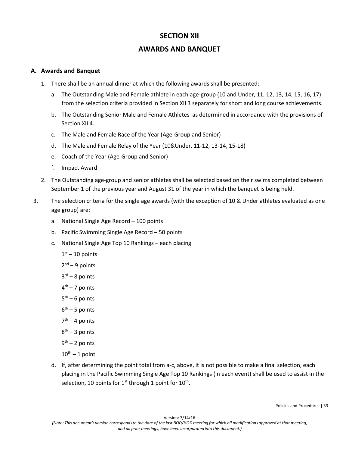# **SECTION XII**

### **AWARDS AND BANQUET**

#### **A. Awards and Banquet**

- 1. There shall be an annual dinner at which the following awards shall be presented:
	- a. The Outstanding Male and Female athlete in each age-group (10 and Under, 11, 12, 13, 14, 15, 16, 17) from the selection criteria provided in Section XII 3 separately for short and long course achievements.
	- b. The Outstanding Senior Male and Female Athletes as determined in accordance with the provisions of Section XII 4.
	- c. The Male and Female Race of the Year (Age-Group and Senior)
	- d. The Male and Female Relay of the Year (10&Under, 11-12, 13-14, 15-18)
	- e. Coach of the Year (Age-Group and Senior)
	- f. Impact Award
- 2. The Outstanding age-group and senior athletes shall be selected based on their swims completed between September 1 of the previous year and August 31 of the year in which the banquet is being held.
- 3. The selection criteria for the single age awards (with the exception of 10 & Under athletes evaluated as one age group) are:
	- a. National Single Age Record 100 points
	- b. Pacific Swimming Single Age Record 50 points
	- c. National Single Age Top 10 Rankings each placing
		- $1<sup>st</sup> 10$  points
		- $2<sup>nd</sup> 9$  points
		- $3<sup>rd</sup> 8$  points
		- $4<sup>th</sup> 7$  points
		- $5<sup>th</sup> 6$  points
		- $6<sup>th</sup> 5$  points
		- $7<sup>th</sup> 4$  points
		- $8<sup>th</sup> 3$  points
		- $9<sup>th</sup> 2$  points
		- $10^{th} 1$  point
	- d. If, after determining the point total from a-c, above, it is not possible to make a final selection, each placing in the Pacific Swimming Single Age Top 10 Rankings (in each event) shall be used to assist in the selection, 10 points for  $1^{st}$  through 1 point for  $10^{th}$ .

Policies and Procedures | 33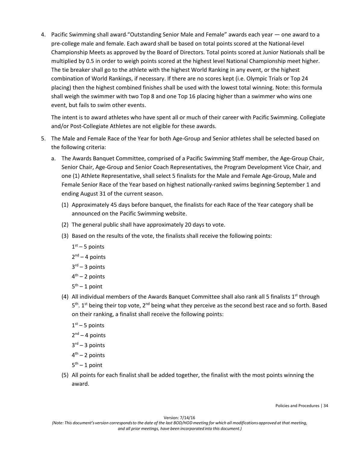4. Pacific Swimming shall award "Outstanding Senior Male and Female" awards each year — one award to a pre-college male and female. Each award shall be based on total points scored at the National-level Championship Meets as approved by the Board of Directors. Total points scored at Junior Nationals shall be multiplied by 0.5 in order to weigh points scored at the highest level National Championship meet higher. The tie breaker shall go to the athlete with the highest World Ranking in any event, or the highest combination of World Rankings, if necessary. If there are no scores kept (i.e. Olympic Trials or Top 24 placing) then the highest combined finishes shall be used with the lowest total winning. Note: this formula shall weigh the swimmer with two Top 8 and one Top 16 placing higher than a swimmer who wins one event, but fails to swim other events.

The intent is to award athletes who have spent all or much of their career with Pacific Swimming. Collegiate and/or Post-Collegiate Athletes are not eligible for these awards.

- 5. The Male and Female Race of the Year for both Age-Group and Senior athletes shall be selected based on the following criteria:
	- a. The Awards Banquet Committee, comprised of a Pacific Swimming Staff member, the Age-Group Chair, Senior Chair, Age-Group and Senior Coach Representatives, the Program Development Vice Chair, and one (1) Athlete Representative, shall select 5 finalists for the Male and Female Age-Group, Male and Female Senior Race of the Year based on highest nationally-ranked swims beginning September 1 and ending August 31 of the current season.
		- (1) Approximately 45 days before banquet, the finalists for each Race of the Year category shall be announced on the Pacific Swimming website.
		- (2) The general public shall have approximately 20 days to vote.
		- (3) Based on the results of the vote, the finalists shall receive the following points:
			- $1<sup>st</sup> 5$  points
			- $2<sup>nd</sup> 4$  points
			- $3<sup>rd</sup> 3$  points
			- $4<sup>th</sup> 2$  points
			- $5<sup>th</sup> 1$  point
		- (4) All individual members of the Awards Banquet Committee shall also rank all 5 finalists  $1^{st}$  through  $5<sup>th</sup>$ . 1<sup>st</sup> being their top vote, 2<sup>nd</sup> being what they perceive as the second best race and so forth. Based on their ranking, a finalist shall receive the following points:
			- $1<sup>st</sup> 5$  points
			- $2<sup>nd</sup> 4$  points
			- $3<sup>rd</sup> 3$  points
			- $4<sup>th</sup> 2$  points
			- $5<sup>th</sup> 1$  point
		- (5) All points for each finalist shall be added together, the finalist with the most points winning the award.

Policies and Procedures | 34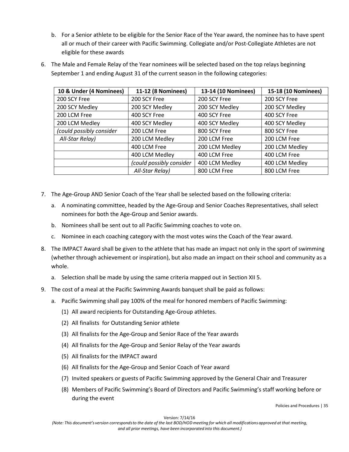b. For a Senior athlete to be eligible for the Senior Race of the Year award, the nominee has to have spent all or much of their career with Pacific Swimming. Collegiate and/or Post-Collegiate Athletes are not eligible for these awards

| 10 & Under (4 Nominees)  | 11-12 (8 Nominees)       | 13-14 (10 Nominees) | 15-18 (10 Nominees) |
|--------------------------|--------------------------|---------------------|---------------------|
| 200 SCY Free             | 200 SCY Free             | 200 SCY Free        | 200 SCY Free        |
| 200 SCY Medley           | 200 SCY Medley           | 200 SCY Medley      | 200 SCY Medley      |
| 200 LCM Free             | 400 SCY Free             | 400 SCY Free        | 400 SCY Free        |
| 200 LCM Medley           | 400 SCY Medley           | 400 SCY Medley      | 400 SCY Medley      |
| (could possibly consider | 200 LCM Free             | 800 SCY Free        | 800 SCY Free        |
| All-Star Relay)          | 200 LCM Medley           | 200 LCM Free        | 200 LCM Free        |
|                          | 400 LCM Free             | 200 LCM Medley      | 200 LCM Medley      |
|                          | 400 LCM Medley           | 400 LCM Free        | 400 LCM Free        |
|                          | (could possibly consider | 400 LCM Medley      | 400 LCM Medley      |
|                          | All-Star Relay)          | 800 LCM Free        | 800 LCM Free        |

6. The Male and Female Relay of the Year nominees will be selected based on the top relays beginning September 1 and ending August 31 of the current season in the following categories:

- 7. The Age-Group AND Senior Coach of the Year shall be selected based on the following criteria:
	- a. A nominating committee, headed by the Age-Group and Senior Coaches Representatives, shall select nominees for both the Age-Group and Senior awards.
	- b. Nominees shall be sent out to all Pacific Swimming coaches to vote on.
	- c. Nominee in each coaching category with the most votes wins the Coach of the Year award.
- 8. The IMPACT Award shall be given to the athlete that has made an impact not only in the sport of swimming (whether through achievement or inspiration), but also made an impact on their school and community as a whole.
	- a. Selection shall be made by using the same criteria mapped out in Section XII 5.
- 9. The cost of a meal at the Pacific Swimming Awards banquet shall be paid as follows:
	- a. Pacific Swimming shall pay 100% of the meal for honored members of Pacific Swimming:
		- (1) All award recipients for Outstanding Age-Group athletes.
		- (2) All finalists for Outstanding Senior athlete
		- (3) All finalists for the Age-Group and Senior Race of the Year awards
		- (4) All finalists for the Age-Group and Senior Relay of the Year awards
		- (5) All finalists for the IMPACT award
		- (6) All finalists for the Age-Group and Senior Coach of Year award
		- (7) Invited speakers or guests of Pacific Swimming approved by the General Chair and Treasurer
		- (8) Members of Pacific Swimming's Board of Directors and Pacific Swimming's staff working before or during the event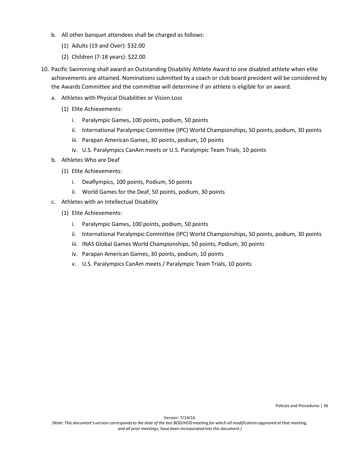- b. All other banquet attendees shall be charged as follows:
	- (1) Adults (19 and Over): \$32.00
	- (2) Children (7-18 years): \$22.00
- 10. Pacific Swimming shall award an Outstanding Disability Athlete Award to one disabled athlete when elite achievements are attained. Nominations submitted by a coach or club board president will be considered by the Awards Committee and the committee will determine if an athlete is eligible for an award.
	- a. Athletes with Physical Disabilities or Vision Loss
		- (1) Elite Achievements:
			- i. Paralympic Games, 100 points, podium, 50 points
			- ii. International Paralympic Committee (IPC) World Championships, 50 points, podium, 30 points
			- iii. Parapan American Games, 30 points, podium, 10 points
			- iv. U.S. Paralympics CanAm meets or U.S. Paralympic Team Trials, 10 points
	- b. Athletes Who are Deaf
		- (1) Elite Achievements:
			- i. Deaflympics, 100 points, Podium, 50 points
			- ii. World Games for the Deaf, 50 points, podium, 30 points
	- c. Athletes with an Intellectual Disability
		- (1) Elite Achievements:
			- i. Paralympic Games, 100 points, podium, 50 points
			- ii. International Paralympic Committee (IPC) World Championships, 50 points, podium, 30 points
			- iii. INAS Global Games World Championships, 50 points, Podium, 30 points
			- iv. Parapan American Games, 30 points, podium, 10 points
			- v. U.S. Paralympics CanAm meets / Paralympic Team Trials, 10 points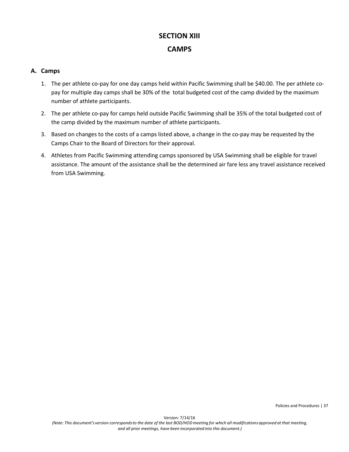# **SECTION XIII CAMPS**

#### **A. Camps**

- 1. The per athlete co-pay for one day camps held within Pacific Swimming shall be \$40.00. The per athlete copay for multiple day camps shall be 30% of the total budgeted cost of the camp divided by the maximum number of athlete participants.
- 2. The per athlete co-pay for camps held outside Pacific Swimming shall be 35% of the total budgeted cost of the camp divided by the maximum number of athlete participants.
- 3. Based on changes to the costs of a camps listed above, a change in the co-pay may be requested by the Camps Chair to the Board of Directors for their approval.
- 4. Athletes from Pacific Swimming attending camps sponsored by USA Swimming shall be eligible for travel assistance. The amount of the assistance shall be the determined air fare less any travel assistance received from USA Swimming.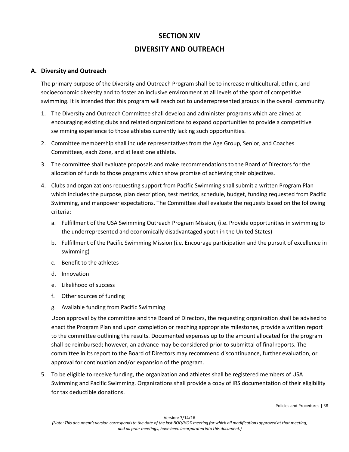# **SECTION XIV DIVERSITY AND OUTREACH**

#### **A. Diversity and Outreach**

The primary purpose of the Diversity and Outreach Program shall be to increase multicultural, ethnic, and socioeconomic diversity and to foster an inclusive environment at all levels of the sport of competitive swimming. It is intended that this program will reach out to underrepresented groups in the overall community.

- 1. The Diversity and Outreach Committee shall develop and administer programs which are aimed at encouraging existing clubs and related organizations to expand opportunities to provide a competitive swimming experience to those athletes currently lacking such opportunities.
- 2. Committee membership shall include representatives from the Age Group, Senior, and Coaches Committees, each Zone, and at least one athlete.
- 3. The committee shall evaluate proposals and make recommendations to the Board of Directors for the allocation of funds to those programs which show promise of achieving their objectives.
- 4. Clubs and organizations requesting support from Pacific Swimming shall submit a written Program Plan which includes the purpose, plan description, test metrics, schedule, budget, funding requested from Pacific Swimming, and manpower expectations. The Committee shall evaluate the requests based on the following criteria:
	- a. Fulfillment of the USA Swimming Outreach Program Mission, (i.e. Provide opportunities in swimming to the underrepresented and economically disadvantaged youth in the United States)
	- b. Fulfillment of the Pacific Swimming Mission (i.e. Encourage participation and the pursuit of excellence in swimming)
	- c. Benefit to the athletes
	- d. Innovation
	- e. Likelihood of success
	- f. Other sources of funding
	- g. Available funding from Pacific Swimming

Upon approval by the committee and the Board of Directors, the requesting organization shall be advised to enact the Program Plan and upon completion or reaching appropriate milestones, provide a written report to the committee outlining the results. Documented expenses up to the amount allocated for the program shall be reimbursed; however, an advance may be considered prior to submittal of final reports. The committee in its report to the Board of Directors may recommend discontinuance, further evaluation, or approval for continuation and/or expansion of the program.

5. To be eligible to receive funding, the organization and athletes shall be registered members of USA Swimming and Pacific Swimming. Organizations shall provide a copy of IRS documentation of their eligibility for tax deductible donations.

Policies and Procedures | 38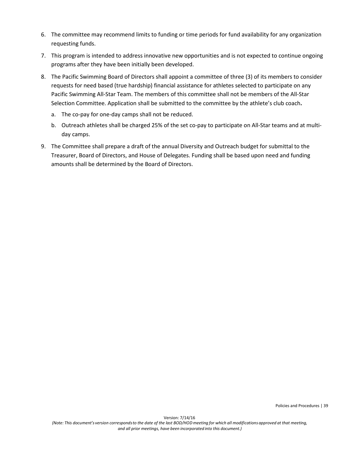- 6. The committee may recommend limits to funding or time periods for fund availability for any organization requesting funds.
- 7. This program is intended to address innovative new opportunities and is not expected to continue ongoing programs after they have been initially been developed.
- 8. The Pacific Swimming Board of Directors shall appoint a committee of three (3) of its members to consider requests for need based (true hardship) financial assistance for athletes selected to participate on any Pacific Swimming All-Star Team. The members of this committee shall not be members of the All-Star Selection Committee. Application shall be submitted to the committee by the athlete's club coach**.** 
	- a. The co-pay for one-day camps shall not be reduced.
	- b. Outreach athletes shall be charged 25% of the set co-pay to participate on All-Star teams and at multiday camps.
- 9. The Committee shall prepare a draft of the annual Diversity and Outreach budget for submittal to the Treasurer, Board of Directors, and House of Delegates. Funding shall be based upon need and funding amounts shall be determined by the Board of Directors.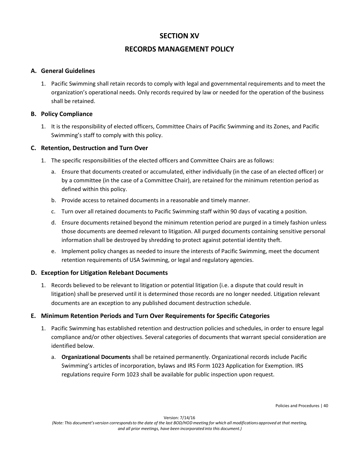# **SECTION XV**

# **RECORDS MANAGEMENT POLICY**

#### **A. General Guidelines**

1. Pacific Swimming shall retain records to comply with legal and governmental requirements and to meet the organization's operational needs. Only records required by law or needed for the operation of the business shall be retained.

#### **B. Policy Compliance**

1. It is the responsibility of elected officers, Committee Chairs of Pacific Swimming and its Zones, and Pacific Swimming's staff to comply with this policy.

#### **C. Retention, Destruction and Turn Over**

- 1. The specific responsibilities of the elected officers and Committee Chairs are as follows:
	- a. Ensure that documents created or accumulated, either individually (in the case of an elected officer) or by a committee (in the case of a Committee Chair), are retained for the minimum retention period as defined within this policy.
	- b. Provide access to retained documents in a reasonable and timely manner.
	- c. Turn over all retained documents to Pacific Swimming staff within 90 days of vacating a position.
	- d. Ensure documents retained beyond the minimum retention period are purged in a timely fashion unless those documents are deemed relevant to litigation. All purged documents containing sensitive personal information shall be destroyed by shredding to protect against potential identity theft.
	- e. Implement policy changes as needed to insure the interests of Pacific Swimming, meet the document retention requirements of USA Swimming, or legal and regulatory agencies.

#### **D. Exception for Litigation Relebant Documents**

1. Records believed to be relevant to litigation or potential litigation (i.e. a dispute that could result in litigation) shall be preserved until it is determined those records are no longer needed. Litigation relevant documents are an exception to any published document destruction schedule.

#### **E. Minimum Retention Periods and Turn Over Requirements for Specific Categories**

- 1. Pacific Swimming has established retention and destruction policies and schedules, in order to ensure legal compliance and/or other objectives. Several categories of documents that warrant special consideration are identified below.
	- a. **Organizational Documents** shall be retained permanently. Organizational records include Pacific Swimming's articles of incorporation, bylaws and IRS Form 1023 Application for Exemption. IRS regulations require Form 1023 shall be available for public inspection upon request.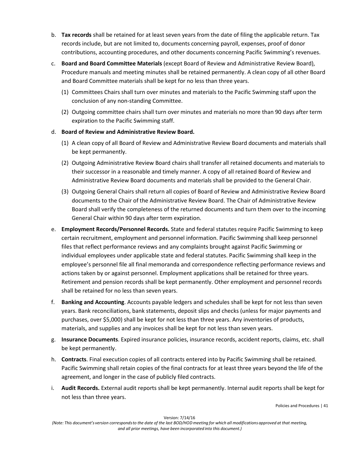- b. **Tax records** shall be retained for at least seven years from the date of filing the applicable return. Tax records include, but are not limited to, documents concerning payroll, expenses, proof of donor contributions, accounting procedures, and other documents concerning Pacific Swimming's revenues.
- c. **Board and Board Committee Materials** (except Board of Review and Administrative Review Board), Procedure manuals and meeting minutes shall be retained permanently. A clean copy of all other Board and Board Committee materials shall be kept for no less than three years.
	- (1) Committees Chairs shall turn over minutes and materials to the Pacific Swimming staff upon the conclusion of any non-standing Committee.
	- (2) Outgoing committee chairs shall turn over minutes and materials no more than 90 days after term expiration to the Pacific Swimming staff.

#### d. **Board of Review and Administrative Review Board.**

- (1) A clean copy of all Board of Review and Administrative Review Board documents and materials shall be kept permanently.
- (2) Outgoing Administrative Review Board chairs shall transfer all retained documents and materials to their successor in a reasonable and timely manner. A copy of all retained Board of Review and Administrative Review Board documents and materials shall be provided to the General Chair.
- (3) Outgoing General Chairs shall return all copies of Board of Review and Administrative Review Board documents to the Chair of the Administrative Review Board. The Chair of Administrative Review Board shall verify the completeness of the returned documents and turn them over to the incoming General Chair within 90 days after term expiration.
- e. **Employment Records/Personnel Records.** State and federal statutes require Pacific Swimming to keep certain recruitment, employment and personnel information. Pacific Swimming shall keep personnel files that reflect performance reviews and any complaints brought against Pacific Swimming or individual employees under applicable state and federal statutes. Pacific Swimming shall keep in the employee's personnel file all final memoranda and correspondence reflecting performance reviews and actions taken by or against personnel. Employment applications shall be retained for three years. Retirement and pension records shall be kept permanently. Other employment and personnel records shall be retained for no less than seven years.
- f. **Banking and Accounting**. Accounts payable ledgers and schedules shall be kept for not less than seven years. Bank reconciliations, bank statements, deposit slips and checks (unless for major payments and purchases, over \$5,000) shall be kept for not less than three years. Any inventories of products, materials, and supplies and any invoices shall be kept for not less than seven years.
- g. **Insurance Documents**. Expired insurance policies, insurance records, accident reports, claims, etc. shall be kept permanently.
- h. **Contracts**. Final execution copies of all contracts entered into by Pacific Swimming shall be retained. Pacific Swimming shall retain copies of the final contracts for at least three years beyond the life of the agreement, and longer in the case of publicly filed contracts.
- i. **Audit Records.** External audit reports shall be kept permanently. Internal audit reports shall be kept for not less than three years.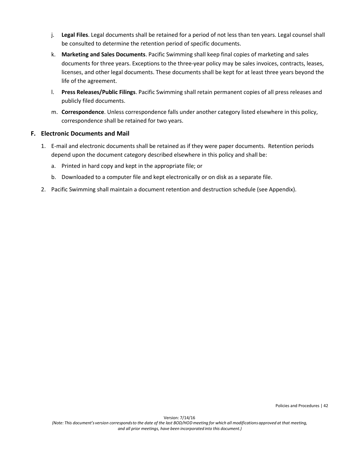- j. **Legal Files**. Legal documents shall be retained for a period of not less than ten years. Legal counsel shall be consulted to determine the retention period of specific documents.
- k. **Marketing and Sales Documents**. Pacific Swimming shall keep final copies of marketing and sales documents for three years. Exceptions to the three-year policy may be sales invoices, contracts, leases, licenses, and other legal documents. These documents shall be kept for at least three years beyond the life of the agreement.
- l. **Press Releases/Public Filings**. Pacific Swimming shall retain permanent copies of all press releases and publicly filed documents.
- m. **Correspondence**. Unless correspondence falls under another category listed elsewhere in this policy, correspondence shall be retained for two years.

#### **F. Electronic Documents and Mail**

- 1. E-mail and electronic documents shall be retained as if they were paper documents. Retention periods depend upon the document category described elsewhere in this policy and shall be:
	- a. Printed in hard copy and kept in the appropriate file; or
	- b. Downloaded to a computer file and kept electronically or on disk as a separate file.
- 2. Pacific Swimming shall maintain a document retention and destruction schedule (see Appendix).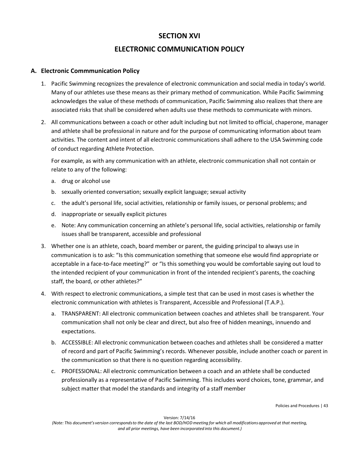# **SECTION XVI**

# **ELECTRONIC COMMUNICATION POLICY**

#### **A. Electronic Commmunication Policy**

- 1. Pacific Swimming recognizes the prevalence of electronic communication and social media in today's world. Many of our athletes use these means as their primary method of communication. While Pacific Swimming acknowledges the value of these methods of communication, Pacific Swimming also realizes that there are associated risks that shall be considered when adults use these methods to communicate with minors.
- 2. All communications between a coach or other adult including but not limited to official, chaperone, manager and athlete shall be professional in nature and for the purpose of communicating information about team activities. The content and intent of all electronic communications shall adhere to the USA Swimming code of conduct regarding Athlete Protection.

For example, as with any communication with an athlete, electronic communication shall not contain or relate to any of the following:

- a. drug or alcohol use
- b. sexually oriented conversation; sexually explicit language; sexual activity
- c. the adult's personal life, social activities, relationship or family issues, or personal problems; and
- d. inappropriate or sexually explicit pictures
- e. Note: Any communication concerning an athlete's personal life, social activities, relationship or family issues shall be transparent, accessible and professional
- 3. Whether one is an athlete, coach, board member or parent, the guiding principal to always use in communication is to ask: "Is this communication something that someone else would find appropriate or acceptable in a face-to-face meeting?" or "Is this something you would be comfortable saying out loud to the intended recipient of your communication in front of the intended recipient's parents, the coaching staff, the board, or other athletes?"
- 4. With respect to electronic communications, a simple test that can be used in most cases is whether the electronic communication with athletes is Transparent, Accessible and Professional (T.A.P.).
	- a. TRANSPARENT: All electronic communication between coaches and athletes shall be transparent. Your communication shall not only be clear and direct, but also free of hidden meanings, innuendo and expectations.
	- b. ACCESSIBLE: All electronic communication between coaches and athletes shall be considered a matter of record and part of Pacific Swimming's records. Whenever possible, include another coach or parent in the communication so that there is no question regarding accessibility.
	- c. PROFESSIONAL: All electronic communication between a coach and an athlete shall be conducted professionally as a representative of Pacific Swimming. This includes word choices, tone, grammar, and subject matter that model the standards and integrity of a staff member

Policies and Procedures | 43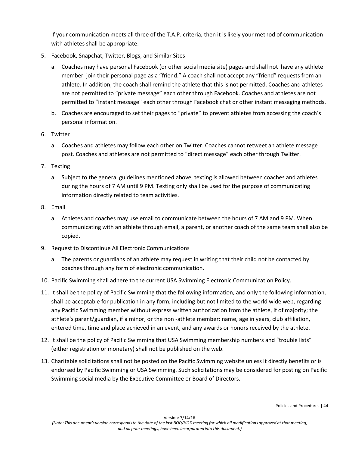If your communication meets all three of the T.A.P. criteria, then it is likely your method of communication with athletes shall be appropriate.

- 5. Facebook, Snapchat, Twitter, Blogs, and Similar Sites
	- a. Coaches may have personal Facebook (or other social media site) pages and shall not have any athlete member join their personal page as a "friend." A coach shall not accept any "friend" requests from an athlete. In addition, the coach shall remind the athlete that this is not permitted. Coaches and athletes are not permitted to "private message" each other through Facebook. Coaches and athletes are not permitted to "instant message" each other through Facebook chat or other instant messaging methods.
	- b. Coaches are encouraged to set their pages to "private" to prevent athletes from accessing the coach's personal information.
- 6. Twitter
	- a. Coaches and athletes may follow each other on Twitter. Coaches cannot retweet an athlete message post. Coaches and athletes are not permitted to "direct message" each other through Twitter.
- 7. Texting
	- a. Subject to the general guidelines mentioned above, texting is allowed between coaches and athletes during the hours of 7 AM until 9 PM. Texting only shall be used for the purpose of communicating information directly related to team activities.
- 8. Email
	- a. Athletes and coaches may use email to communicate between the hours of 7 AM and 9 PM. When communicating with an athlete through email, a parent, or another coach of the same team shall also be copied.
- 9. Request to Discontinue All Electronic Communications
	- a. The parents or guardians of an athlete may request in writing that their child not be contacted by coaches through any form of electronic communication.
- 10. Pacific Swimming shall adhere to the current USA Swimming Electronic Communication Policy.
- 11. It shall be the policy of Pacific Swimming that the following information, and only the following information, shall be acceptable for publication in any form, including but not limited to the world wide web, regarding any Pacific Swimming member without express written authorization from the athlete, if of majority; the athlete's parent/guardian, if a minor; or the non -athlete member: name, age in years, club affiliation, entered time, time and place achieved in an event, and any awards or honors received by the athlete.
- 12. It shall be the policy of Pacific Swimming that USA Swimming membership numbers and "trouble lists" (either registration or monetary) shall not be published on the web.
- 13. Charitable solicitations shall not be posted on the Pacific Swimming website unless it directly benefits or is endorsed by Pacific Swimming or USA Swimming. Such solicitations may be considered for posting on Pacific Swimming social media by the Executive Committee or Board of Directors.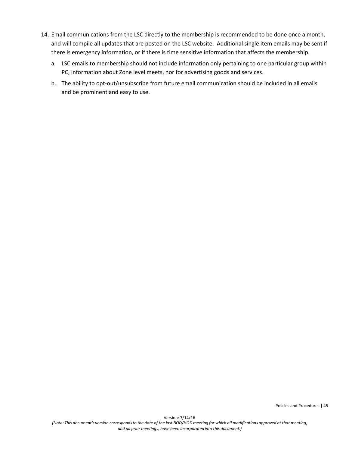- 14. Email communications from the LSC directly to the membership is recommended to be done once a month, and will compile all updates that are posted on the LSC website. Additional single item emails may be sent if there is emergency information, or if there is time sensitive information that affects the membership.
	- a. LSC emails to membership should not include information only pertaining to one particular group within PC, information about Zone level meets, nor for advertising goods and services.
	- b. The ability to opt-out/unsubscribe from future email communication should be included in all emails and be prominent and easy to use.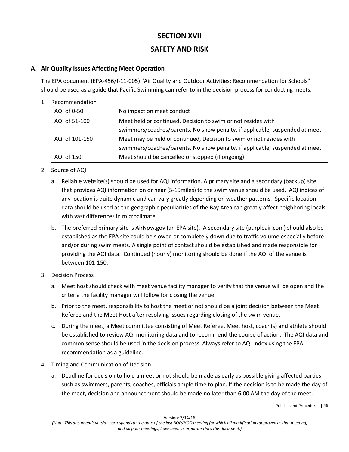# **SECTION XVII**

# **SAFETY AND RISK**

### **A. Air Quality Issues Affecting Meet Operation**

The EPA document (EPA-456/f-11-005) "Air Quality and Outdoor Activities: Recommendation for Schools" should be used as a guide that Pacific Swimming can refer to in the decision process for conducting meets.

#### 1. Recommendation

| AQI of 0-50    | No impact on meet conduct                                                   |
|----------------|-----------------------------------------------------------------------------|
| AQI of 51-100  | Meet held or continued. Decision to swim or not resides with                |
|                | swimmers/coaches/parents. No show penalty, if applicable, suspended at meet |
| AQI of 101-150 | Meet may be held or continued, Decision to swim or not resides with         |
|                | swimmers/coaches/parents. No show penalty, if applicable, suspended at meet |
| AQI of 150+    | Meet should be cancelled or stopped (if ongoing)                            |

- 2. Source of AQI
	- a. Reliable website(s) should be used for AQI information. A primary site and a secondary (backup) site that provides AQI information on or near (5-15miles) to the swim venue should be used. AQI indices of any location is quite dynamic and can vary greatly depending on weather patterns. Specific location data should be used as the geographic peculiarities of the Bay Area can greatly affect neighboring locals with vast differences in microclimate.
	- b. The preferred primary site is AirNow.gov (an EPA site). A secondary site (purpleair.com) should also be established as the EPA site could be slowed or completely down due to traffic volume especially before and/or during swim meets. A single point of contact should be established and made responsible for providing the AQI data. Continued (hourly) monitoring should be done if the AQI of the venue is between 101-150.
- 3. Decision Process
	- a. Meet host should check with meet venue facility manager to verify that the venue will be open and the criteria the facility manager will follow for closing the venue.
	- b. Prior to the meet, responsibility to host the meet or not should be a joint decision between the Meet Referee and the Meet Host after resolving issues regarding closing of the swim venue.
	- c. During the meet, a Meet committee consisting of Meet Referee, Meet host, coach(s) and athlete should be established to review AQI monitoring data and to recommend the course of action. The AQI data and common sense should be used in the decision process. Always refer to AQI Index using the EPA recommendation as a guideline.
- 4. Timing and Communication of Decision
	- a. Deadline for decision to hold a meet or not should be made as early as possible giving affected parties such as swimmers, parents, coaches, officials ample time to plan. If the decision is to be made the day of the meet, decision and announcement should be made no later than 6:00 AM the day of the meet.

Policies and Procedures | 46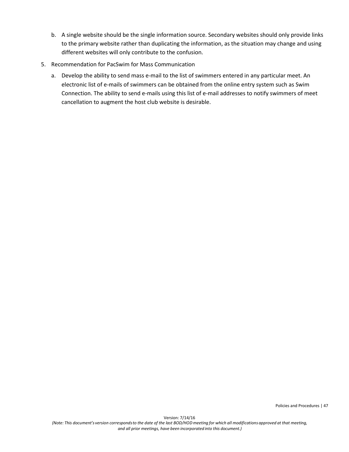- b. A single website should be the single information source. Secondary websites should only provide links to the primary website rather than duplicating the information, as the situation may change and using different websites will only contribute to the confusion.
- 5. Recommendation for PacSwim for Mass Communication
	- a. Develop the ability to send mass e-mail to the list of swimmers entered in any particular meet. An electronic list of e-mails of swimmers can be obtained from the online entry system such as Swim Connection. The ability to send e-mails using this list of e-mail addresses to notify swimmers of meet cancellation to augment the host club website is desirable.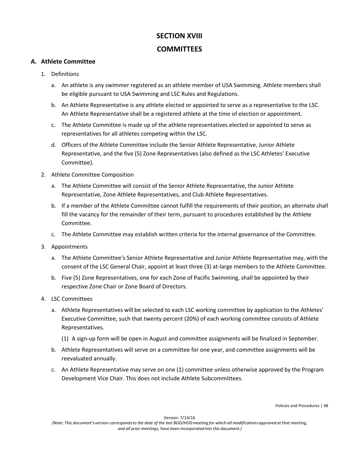# **SECTION XVIII COMMITTEES**

#### **A. Athlete Committee**

- 1. Definitions
	- a. An athlete is any swimmer registered as an athlete member of USA Swimming. Athlete members shall be eligible pursuant to USA Swimming and LSC Rules and Regulations.
	- b. An Athlete Representative is any athlete elected or appointed to serve as a representative to the LSC. An Athlete Representative shall be a registered athlete at the time of election or appointment.
	- c. The Athlete Committee is made up of the athlete representatives elected or appointed to serve as representatives for all athletes competing within the LSC.
	- d. Officers of the Athlete Committee include the Senior Athlete Representative, Junior Athlete Representative, and the five (5) Zone Representatives (also defined as the LSC Athletes' Executive Committee).
- 2. Athlete Committee Composition
	- a. The Athlete Committee will consist of the Senior Athlete Representative, the Junior Athlete Representative, Zone Athlete Representatives, and Club Athlete Representatives.
	- b. If a member of the Athlete Committee cannot fulfill the requirements of their position, an alternate shall fill the vacancy for the remainder of their term, pursuant to procedures established by the Athlete Committee.
	- c. The Athlete Committee may establish written criteria for the internal governance of the Committee.
- 3. Appointments
	- a. The Athlete Committee's Senior Athlete Representative and Junior Athlete Representative may, with the consent of the LSC General Chair, appoint at least three (3) at-large members to the Athlete Committee.
	- b. Five (5) Zone Representatives, one for each Zone of Pacific Swimming, shall be appointed by their respective Zone Chair or Zone Board of Directors.
- 4. LSC Committees
	- a. Athlete Representatives will be selected to each LSC working committee by application to the Athletes' Executive Committee, such that twenty percent (20%) of each working committee consists of Athlete Representatives.
		- (1) A sign-up form will be open in August and committee assignments will be finalized in September.
	- b. Athlete Representatives will serve on a committee for one year, and committee assignments will be reevaluated annually.
	- c. An Athlete Representative may serve on one (1) committee unless otherwise approved by the Program Development Vice Chair. This does not include Athlete Subcommittees.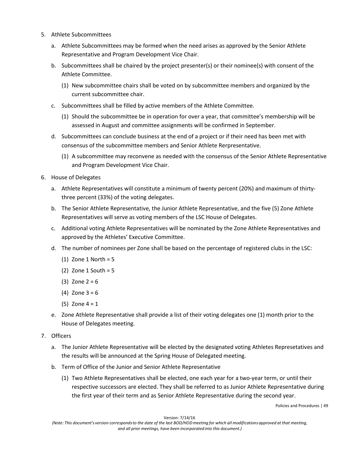- 5. Athlete Subcommittees
	- a. Athlete Subcommittees may be formed when the need arises as approved by the Senior Athlete Representative and Program Development Vice Chair.
	- b. Subcommittees shall be chaired by the project presenter(s) or their nominee(s) with consent of the Athlete Committee.
		- (1) New subcommittee chairs shall be voted on by subcommittee members and organized by the current subcommittee chair.
	- c. Subcommittees shall be filled by active members of the Athlete Committee.
		- (1) Should the subcommittee be in operation for over a year, that committee's membership will be assessed in August and committee assignments will be confirmed in September.
	- d. Subcommittees can conclude business at the end of a project or if their need has been met with consensus of the subcommittee members and Senior Athlete Rerpresentative.
		- (1) A subcommittee may reconvene as needed with the consensus of the Senior Athlete Representative and Program Development Vice Chair.
- 6. House of Delegates
	- a. Athlete Representatives will constitute a minimum of twenty percent (20%) and maximum of thirtythree percent (33%) of the voting delegates.
	- b. The Senior Athlete Representative, the Junior Athlete Representative, and the five (5) Zone Athlete Representatives will serve as voting members of the LSC House of Delegates.
	- c. Additional voting Athlete Representatives will be nominated by the Zone Athlete Representatives and approved by the Athletes' Executive Committee.
	- d. The number of nominees per Zone shall be based on the percentage of registered clubs in the LSC:
		- (1) Zone 1 North =  $5$
		- (2) Zone  $1$  South =  $5$
		- (3) Zone  $2 = 6$
		- (4) Zone  $3 = 6$
		- $(5)$  Zone 4 = 1
	- e. Zone Athlete Representative shall provide a list of their voting delegates one (1) month prior to the House of Delegates meeting.
- 7. Officers
	- a. The Junior Athlete Representative will be elected by the designated voting Athletes Represetatives and the results will be announced at the Spring House of Delegated meeting.
	- b. Term of Office of the Junior and Senior Athlete Representative
		- (1) Two Athlete Representatives shall be elected, one each year for a two-year term, or until their respective successors are elected. They shall be referred to as Junior Athlete Representative during the first year of their term and as Senior Athlete Representative during the second year.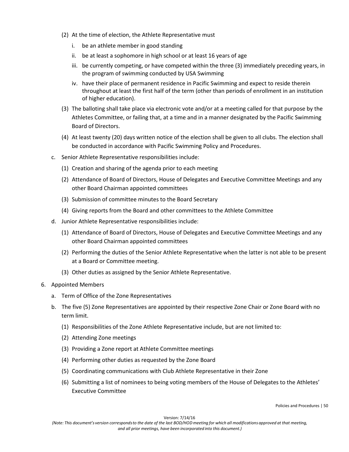- (2) At the time of election, the Athlete Representative must
	- i. be an athlete member in good standing
	- ii. be at least a sophomore in high school or at least 16 years of age
	- iii. be currently competing, or have competed within the three (3) immediately preceding years, in the program of swimming conducted by USA Swimming
	- iv. have their place of permanent residence in Pacific Swimming and expect to reside therein throughout at least the first half of the term (other than periods of enrollment in an institution of higher education).
- (3) The balloting shall take place via electronic vote and/or at a meeting called for that purpose by the Athletes Committee, or failing that, at a time and in a manner designated by the Pacific Swimming Board of Directors.
- (4) At least twenty (20) days written notice of the election shall be given to all clubs. The election shall be conducted in accordance with Pacific Swimming Policy and Procedures.
- c. Senior Athlete Representative responsibilities include:
	- (1) Creation and sharing of the agenda prior to each meeting
	- (2) Attendance of Board of Directors, House of Delegates and Executive Committee Meetings and any other Board Chairman appointed committees
	- (3) Submission of committee minutes to the Board Secretary
	- (4) Giving reports from the Board and other committees to the Athlete Committee
- d. Junior Athlete Representative responsibilities include:
	- (1) Attendance of Board of Directors, House of Delegates and Executive Committee Meetings and any other Board Chairman appointed committees
	- (2) Performing the duties of the Senior Athlete Representative when the latter is not able to be present at a Board or Committee meeting.
	- (3) Other duties as assigned by the Senior Athlete Representative.
- 6. Appointed Members
	- a. Term of Office of the Zone Representatives
	- b. The five (5) Zone Representatives are appointed by their respective Zone Chair or Zone Board with no term limit.
		- (1) Responsibilities of the Zone Athlete Representative include, but are not limited to:
		- (2) Attending Zone meetings
		- (3) Providing a Zone report at Athlete Committee meetings
		- (4) Performing other duties as requested by the Zone Board
		- (5) Coordinating communications with Club Athlete Representative in their Zone
		- (6) Submitting a list of nominees to being voting members of the House of Delegates to the Athletes' Executive Committee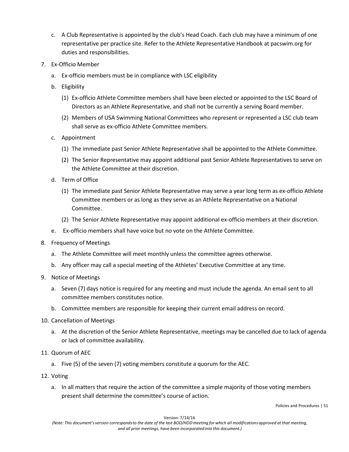- c. A Club Representative is appointed by the club's Head Coach. Each club may have a minimum of one representative per practice site. Refer to the Athlete Representative Handbook at pacswim.org for duties and responsibilities.
- 7. Ex-Officio Member
	- a. Ex-officio members must be in compliance with LSC eligibility
	- b. Eligibility
		- (1) Ex-officio Athlete Committee members shall have been elected or appointed to the LSC Board of Directors as an Athlete Representative, and shall not be currently a serving Board member.
		- (2) Members of USA Swimming National Committees who represent or represented a LSC club team shall serve as ex-officio Athlete Committee members.
	- c. Appointment
		- (1) The immediate past Senior Athlete Representative shall be appointed to the Athlete Committee.
		- (2) The Senior Representative may appoint additional past Senior Athlete Representatives to serve on the Athlete Committee at their discretion.
	- d. Term of Office
		- (1) The immediate past Senior Athlete Representative may serve a year long term as ex-officio Athlete Committee members or as long as they serve as an Athlete Representative on a National Committee.
		- (2) The Senior Athlete Representative may appoint additional ex-officio members at their discretion.
	- e. Ex-officio members shall have voice but no vote on the Athlete Committee.
- 8. Frequency of Meetings
	- a. The Athlete Committee will meet monthly unless the committee agrees otherwise.
	- b. Any officer may call a special meeting of the Athletes' Executive Committee at any time.
- 9. Notice of Meetings
	- a. Seven (7) days notice is required for any meeting and must include the agenda. An email sent to all committee members constitutes notice.
	- b. Committee members are responsible for keeping their current email address on record.
- 10. Cancellation of Meetings
	- a. At the discretion of the Senior Athlete Representative, meetings may be cancelled due to lack of agenda or lack of committee availability.
- 11. Quorum of AEC
	- a. Five (5) of the seven (7) voting members constitute a quorum for the AEC.
- 12. Voting
	- a. In all matters that require the action of the committee a simple majority of those voting members present shall determine the committee's course of action.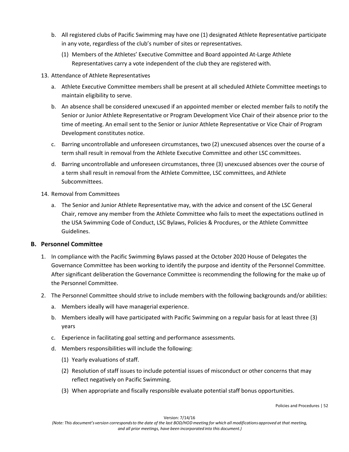- b. All registered clubs of Pacific Swimming may have one (1) designated Athlete Representative participate in any vote, regardless of the club's number of sites or representatives.
	- (1) Members of the Athletes' Executive Committee and Board appointed At-Large Athlete Representatives carry a vote independent of the club they are registered with.

#### 13. Attendance of Athlete Representatives

- a. Athlete Executive Committee members shall be present at all scheduled Athlete Committee meetings to maintain eligibility to serve.
- b. An absence shall be considered unexcused if an appointed member or elected member fails to notify the Senior or Junior Athlete Representative or Program Development Vice Chair of their absence prior to the time of meeting. An email sent to the Senior or Junior Athlete Representative or Vice Chair of Program Development constitutes notice.
- c. Barring uncontrollable and unforeseen circumstances, two (2) unexcused absences over the course of a term shall result in removal from the Athlete Executive Committee and other LSC committees.
- d. Barring uncontrollable and unforeseen circumstances, three (3) unexcused absences over the course of a term shall result in removal from the Athlete Committee, LSC committees, and Athlete Subcommittees.

#### 14. Removal from Committees

a. The Senior and Junior Athlete Representative may, with the advice and consent of the LSC General Chair, remove any member from the Athlete Committee who fails to meet the expectations outlined in the USA Swimming Code of Conduct, LSC Bylaws, Policies & Procdures, or the Athlete Committee Guidelines.

#### **B. Personnel Committee**

- 1. In compliance with the Pacific Swimming Bylaws passed at the October 2020 House of Delegates the Governance Committee has been working to identify the purpose and identity of the Personnel Committee. After significant deliberation the Governance Committee is recommending the following for the make up of the Personnel Committee.
- 2. The Personnel Committee should strive to include members with the following backgrounds and/or abilities:
	- a. Members ideally will have managerial experience.
	- b. Members ideally will have participated with Pacific Swimming on a regular basis for at least three (3) years
	- c. Experience in facilitating goal setting and performance assessments.
	- d. Members responsibilities will include the following:
		- (1) Yearly evaluations of staff.
		- (2) Resolution of staff issues to include potential issues of misconduct or other concerns that may reflect negatively on Pacific Swimming.
		- (3) When appropriate and fiscally responsible evaluate potential staff bonus opportunities.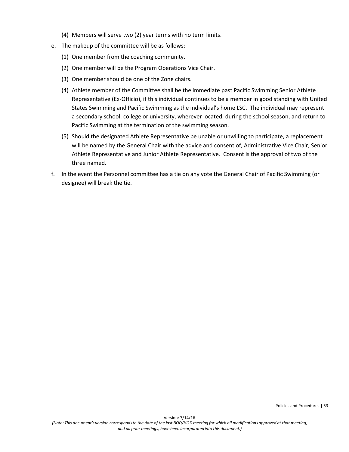- (4) Members will serve two (2) year terms with no term limits.
- e. The makeup of the committee will be as follows:
	- (1) One member from the coaching community.
	- (2) One member will be the Program Operations Vice Chair.
	- (3) One member should be one of the Zone chairs.
	- (4) Athlete member of the Committee shall be the immediate past Pacific Swimming Senior Athlete Representative (Ex-Officio), if this individual continues to be a member in good standing with United States Swimming and Pacific Swimming as the individual's home LSC. The individual may represent a secondary school, college or university, wherever located, during the school season, and return to Pacific Swimming at the termination of the swimming season.
	- (5) Should the designated Athlete Representative be unable or unwilling to participate, a replacement will be named by the General Chair with the advice and consent of, Administrative Vice Chair, Senior Athlete Representative and Junior Athlete Representative. Consent is the approval of two of the three named.
- f. In the event the Personnel committee has a tie on any vote the General Chair of Pacific Swimming (or designee) will break the tie.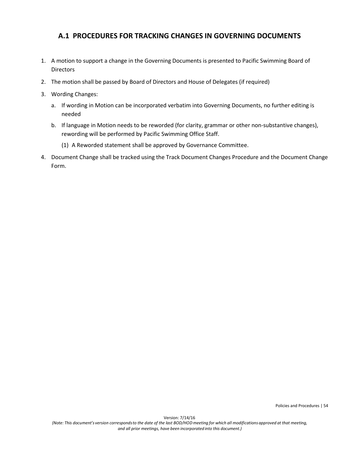# **A.1 PROCEDURES FOR TRACKING CHANGES IN GOVERNING DOCUMENTS**

- 1. A motion to support a change in the Governing Documents is presented to Pacific Swimming Board of **Directors**
- 2. The motion shall be passed by Board of Directors and House of Delegates (if required)
- 3. Wording Changes:
	- a. If wording in Motion can be incorporated verbatim into Governing Documents, no further editing is needed
	- b. If language in Motion needs to be reworded (for clarity, grammar or other non-substantive changes), rewording will be performed by Pacific Swimming Office Staff.
		- (1) A Reworded statement shall be approved by Governance Committee.
- 4. Document Change shall be tracked using the Track Document Changes Procedure and the Document Change Form.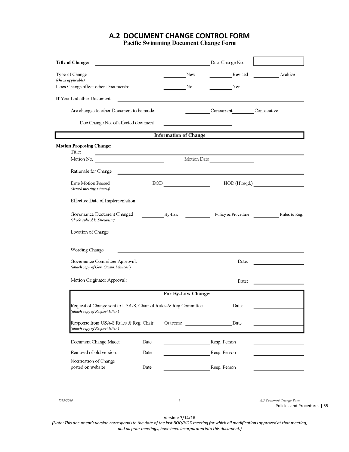# **A.2 DOCUMENT CHANGE CONTROL FORM**

| <b>Title of Change:</b>                                                                            |      |         |                              | Doc. Change No.    |              |
|----------------------------------------------------------------------------------------------------|------|---------|------------------------------|--------------------|--------------|
| Type of Change                                                                                     |      |         | New                          | Revised            | Archive      |
| (check applicable)<br>Does Change affect other Documents:                                          |      |         | No                           | Yes                |              |
| If Yes: List other Document                                                                        |      |         |                              |                    |              |
|                                                                                                    |      |         |                              |                    |              |
| Are changes to other Document to be made:                                                          |      |         |                              | Concurrent         | Consecutive  |
| Doc Change No. of affected document                                                                |      |         |                              |                    |              |
|                                                                                                    |      |         | <b>Information of Change</b> |                    |              |
| <b>Motion Proposing Change:</b><br>Title:                                                          |      |         |                              |                    |              |
| <u> 1989 - Johann Stoff, Amerikaansk politiker (</u><br>Motion No.                                 |      |         |                              | Motion Date        |              |
| Rationale for Change                                                                               |      |         |                              |                    |              |
| Date Motion Passed                                                                                 |      |         | BOD                          |                    |              |
| (Attach meeting minutes)                                                                           |      |         |                              |                    |              |
| Effective Date of Implementation                                                                   |      |         |                              |                    |              |
| Governance Document Changed<br>(check aplicable Document)                                          |      | By-Law  |                              | Policy & Procedure | Rules & Reg. |
| Location of Change                                                                                 |      |         |                              |                    |              |
| Wording Change                                                                                     |      |         |                              |                    |              |
| Governance Committee Approval:<br>(attach copy of Gov. Comm. Minutes)                              |      |         |                              | Date:              |              |
| Motion Originator Approval:                                                                        |      |         |                              | Date:              |              |
|                                                                                                    |      |         | For By-Law Change:           |                    |              |
| Request of Change sent to USA-S, Chair of Rules & Reg Committee<br>(attach copy of Request letter) |      |         |                              | Date:              |              |
| Response from USA-S Rules & Reg. Chair<br>(attach copy of Request letter)                          |      | Outcome |                              | Date               |              |
| Document Change Made:                                                                              | Date |         |                              | Resp. Person       |              |
| Removal of old version:                                                                            | Date |         |                              | Resp. Person       |              |
| Notification of Change<br>posted on website                                                        | Date |         |                              | Resp. Person       |              |

7/13/2016

A.2 Document Change Form Policies and Procedures | 55

Version: 7/14/16

 $\cal I$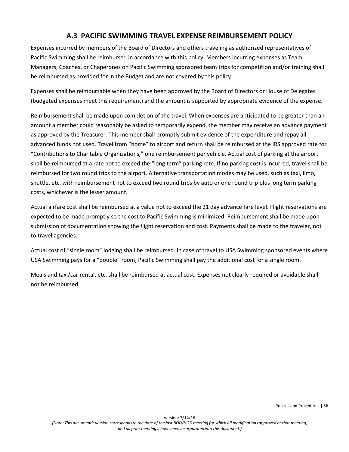# **A.3 PACIFIC SWIMMING TRAVEL EXPENSE REIMBURSEMENT POLICY**

Expenses incurred by members of the Board of Directors and others traveling as authorized representatives of Pacific Swimming shall be reimbursed in accordance with this policy. Members incurring expenses as Team Managers, Coaches, or Chaperones on Pacific Swimming sponsored team trips for competition and/or training shall be reimbursed as provided for in the Budget and are not covered by this policy.

Expenses shall be reimbursable when they have been approved by the Board of Directors or House of Delegates (budgeted expenses meet this requirement) and the amount is supported by appropriate evidence of the expense.

Reimbursement shall be made upon completion of the travel. When expenses are anticipated to be greater than an amount a member could reasonably be asked to temporarily expend, the member may receive an advance payment as approved by the Treasurer. This member shall promptly submit evidence of the expenditure and repay all advanced funds not used. Travel from "home" to airport and return shall be reimbursed at the IRS approved rate for "Contributions to Charitable Organizations," one reimbursement per vehicle. Actual cost of parking at the airport shall be reimbursed at a rate not to exceed the "long term" parking rate. If no parking cost is incurred, travel shall be reimbursed for two round trips to the airport. Alternative transportation modes may be used, such as taxi, limo, shuttle, etc. with reimbursement not to exceed two round trips by auto or one round trip plus long term parking costs, whichever is the lesser amount.

Actual airfare cost shall be reimbursed at a value not to exceed the 21 day advance fare level. Flight reservations are expected to be made promptly so the cost to Pacific Swimming is minimized. Reimbursement shall be made upon submission of documentation showing the flight reservation and cost. Payments shall be made to the traveler, not to travel agencies.

Actual cost of "single room" lodging shall be reimbursed. In case of travel to USA Swimming sponsored events where USA Swimming pays for a "double" room, Pacific Swimming shall pay the additional cost for a single room.

Meals and taxi/car rental, etc. shall be reimbursed at actual cost. Expenses not clearly required or avoidable shall not be reimbursed.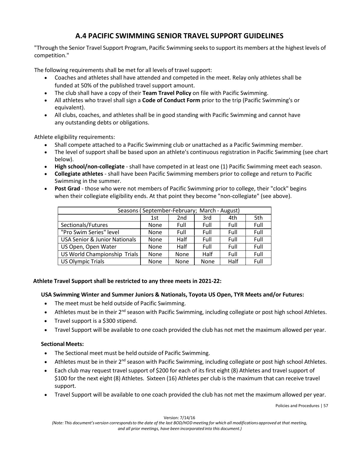# **A.4 PACIFIC SWIMMING SENIOR TRAVEL SUPPORT GUIDELINES**

"Through the Senior Travel Support Program, Pacific Swimming seeksto support its members at the highest levels of competition."

The following requirements shall be met for all levels of travel support:

- Coaches and athletes shall have attended and competed in the meet. Relay only athletes shall be funded at 50% of the published travel support amount.
- The club shall have a copy of their **Team Travel Policy** on file with Pacific Swimming.
- All athletes who travel shall sign a **Code of Conduct Form** prior to the trip (Pacific Swimming's or equivalent).
- All clubs, coaches, and athletes shall be in good standing with Pacific Swimming and cannot have any outstanding debts or obligations.

Athlete eligibility requirements:

- Shall compete attached to a Pacific Swimming club or unattached as a Pacific Swimming member.
- The level of support shall be based upon an athlete's continuous registration in Pacific Swimming (see chart below).
- **High school/non-collegiate**  shall have competed in at least one (1) Pacific Swimming meet each season.
- **Collegiate athletes**  shall have been Pacific Swimming members prior to college and return to Pacific Swimming in the summer.
- **Post Grad**  those who were not members of Pacific Swimming prior to college, their "clock" begins when their collegiate eligibility ends. At that point they become "non-collegiate" (see above).

| Seasons (September-February; March - August) |             |                 |      |      |      |  |
|----------------------------------------------|-------------|-----------------|------|------|------|--|
|                                              | 1st         | 2 <sub>nd</sub> | 3rd  | 4th  | 5th  |  |
| Sectionals/Futures                           | None        | Full            | Full | Full | Full |  |
| "Pro Swim Series" level                      | <b>None</b> | Full            | Full | Full | Full |  |
| <b>USA Senior &amp; Junior Nationals</b>     | None        | Half            | Full | Full | Full |  |
| US Open, Open Water                          | None        | Half            | Full | Full | Full |  |
| US World Championship Trials                 | None        | <b>None</b>     | Half | Full | Full |  |
| <b>US Olympic Trials</b>                     | None        | <b>None</b>     | None | Half | Full |  |

#### **Athlete Travel Support shall be restricted to any three meets in 2021-22:**

#### **USA Swimming Winter and Summer Juniors & Nationals, Toyota US Open, TYR Meets and/or Futures:**

- The meet must be held outside of Pacific Swimming.
- Athletes must be in their 2<sup>nd</sup> season with Pacific Swimming, including collegiate or post high school Athletes.
- Travel support is a \$300 stipend.
- Travel Support will be available to one coach provided the club has not met the maximum allowed per year.

#### **Sectional Meets:**

- The Sectional meet must be held outside of Pacific Swimming.
- Athletes must be in their  $2^{nd}$  season with Pacific Swimming, including collegiate or post high school Athletes.
- Each club may request travel support of \$200 for each of its first eight (8) Athletes and travel support of \$100 for the next eight (8) Athletes. Sixteen (16) Athletes per club isthe maximum that can receive travel support.
- Travel Support will be available to one coach provided the club has not met the maximum allowed per year.

Policies and Procedures | 57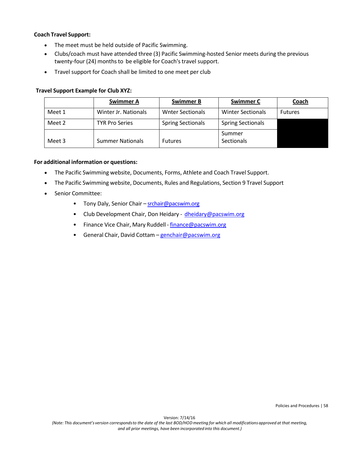#### **Coach Travel Support:**

- The meet must be held outside of Pacific Swimming.
- Clubs/coach must have attended three (3) Pacific Swimming-hosted Senior meets during the previous twenty-four (24) months to be eligible for Coach's travel support.
- Travel support for Coach shall be limited to one meet per club

#### **Travel Support Example for Club XYZ:**

|        | <b>Swimmer A</b>        | <b>Swimmer B</b>         | <b>Swimmer C</b>         | Coach          |
|--------|-------------------------|--------------------------|--------------------------|----------------|
| Meet 1 | Winter Jr. Nationals    | <b>Wnter Sectionals</b>  | <b>Winter Sectionals</b> | <b>Futures</b> |
| Meet 2 | <b>TYR Pro Series</b>   | <b>Spring Sectionals</b> | <b>Spring Sectionals</b> |                |
|        |                         |                          | Summer                   |                |
| Meet 3 | <b>Summer Nationals</b> | <b>Futures</b>           | <b>Sectionals</b>        |                |

#### **For additional information or questions:**

- The Pacific Swimming website, Documents, Forms, Athlete and Coach Travel Support.
- The Pacific Swimming website, Documents, Rules and Regulations, Section 9 Travel Support
- Senior Committee:
	- Tony Daly, Senior Chair [srchair@pacswim.org](about:blank)
	- Club Development Chair, Don Heidary [dheidary@pacswim.org](about:blank)
	- Finance Vice Chair, Mary Ruddell [finance@pacswim.org](mailto:finance@pacswim.org)
	- General Chair, David Cottam [genchair@pacswim.org](about:blank)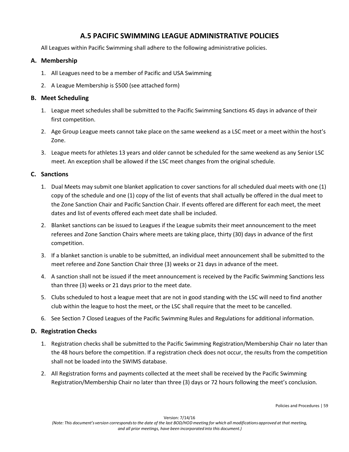# **A.5 PACIFIC SWIMMING LEAGUE ADMINISTRATIVE POLICIES**

All Leagues within Pacific Swimming shall adhere to the following administrative policies.

#### **A. Membership**

- 1. All Leagues need to be a member of Pacific and USA Swimming
- 2. A League Membership is \$500 (see attached form)

#### **B. Meet Scheduling**

- 1. League meet schedules shall be submitted to the Pacific Swimming Sanctions 45 days in advance of their first competition.
- 2. Age Group League meets cannot take place on the same weekend as a LSC meet or a meet within the host's Zone.
- 3. League meets for athletes 13 years and older cannot be scheduled for the same weekend as any Senior LSC meet. An exception shall be allowed if the LSC meet changes from the original schedule.

#### **C. Sanctions**

- 1. Dual Meets may submit one blanket application to cover sanctions for all scheduled dual meets with one (1) copy of the schedule and one (1) copy of the list of events that shall actually be offered in the dual meet to the Zone Sanction Chair and Pacific Sanction Chair. If events offered are different for each meet, the meet dates and list of events offered each meet date shall be included.
- 2. Blanket sanctions can be issued to Leagues if the League submits their meet announcement to the meet referees and Zone Sanction Chairs where meets are taking place, thirty (30) days in advance of the first competition.
- 3. If a blanket sanction is unable to be submitted, an individual meet announcement shall be submitted to the meet referee and Zone Sanction Chair three (3) weeks or 21 days in advance of the meet.
- 4. A sanction shall not be issued if the meet announcement is received by the Pacific Swimming Sanctions less than three (3) weeks or 21 days prior to the meet date.
- 5. Clubs scheduled to host a league meet that are not in good standing with the LSC will need to find another club within the league to host the meet, or the LSC shall require that the meet to be cancelled.
- 6. See Section 7 Closed Leagues of the Pacific Swimming Rules and Regulations for additional information.

#### **D. Registration Checks**

- 1. Registration checks shall be submitted to the Pacific Swimming Registration/Membership Chair no later than the 48 hours before the competition. If a registration check does not occur, the results from the competition shall not be loaded into the SWIMS database.
- 2. All Registration forms and payments collected at the meet shall be received by the Pacific Swimming Registration/Membership Chair no later than three (3) days or 72 hours following the meet's conclusion.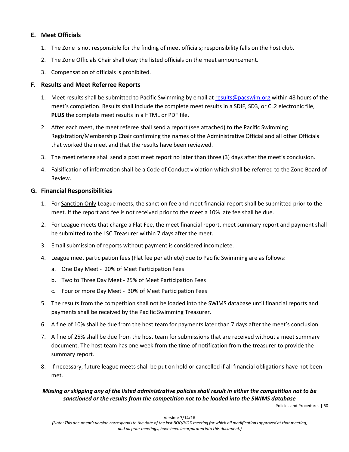#### **E. Meet Officials**

- 1. The Zone is not responsible for the finding of meet officials; responsibility falls on the host club.
- 2. The Zone Officials Chair shall okay the listed officials on the meet announcement.
- 3. Compensation of officials is prohibited.

#### **F. Results and Meet Referree Reports**

- 1. Meet results shall be submitted to Pacific Swimming by email a[t results@pacswim.org](mailto:results@pacswim.org) within 48 hours of the meet's completion. Results shall include the complete meet results in a SDIF, SD3, or CL2 electronic file, **PLUS** the complete meet results in a HTML or PDF file.
- 2. After each meet, the meet referee shall send a report (see attached) to the Pacific Swimming Registration/Membership Chair confirming the names of the Administrative Official and all other Officials that worked the meet and that the results have been reviewed.
- 3. The meet referee shall send a post meet report no later than three (3) days after the meet's conclusion.
- 4. Falsification of information shall be a Code of Conduct violation which shall be referred to the Zone Board of Review.

#### **G. Financial Responsibilities**

- 1. For Sanction Only League meets, the sanction fee and meet financial report shall be submitted prior to the meet. If the report and fee is not received prior to the meet a 10% late fee shall be due.
- 2. For League meets that charge a Flat Fee, the meet financial report, meet summary report and payment shall be submitted to the LSC Treasurer within 7 days after the meet.
- 3. Email submission of reports without payment is considered incomplete.
- 4. League meet participation fees (Flat fee per athlete) due to Pacific Swimming are as follows:
	- a. One Day Meet 20% of Meet Participation Fees
	- b. Two to Three Day Meet 25% of Meet Participation Fees
	- c. Four or more Day Meet 30% of Meet Participation Fees
- 5. The results from the competition shall not be loaded into the SWIMS database until financial reports and payments shall be received by the Pacific Swimming Treasurer.
- 6. A fine of 10% shall be due from the host team for payments later than 7 days after the meet's conclusion.
- 7. A fine of 25% shall be due from the host team for submissions that are received without a meet summary document. The host team has one week from the time of notification from the treasurer to provide the summary report.
- 8. If necessary, future league meets shall be put on hold or cancelled if all financial obligations have not been met.

#### *Missing or skipping any of the listed administrative policies shall result in either the competition not to be sanctioned or the results from the competition not to be loaded into the SWIMS database*

Policies and Procedures | 60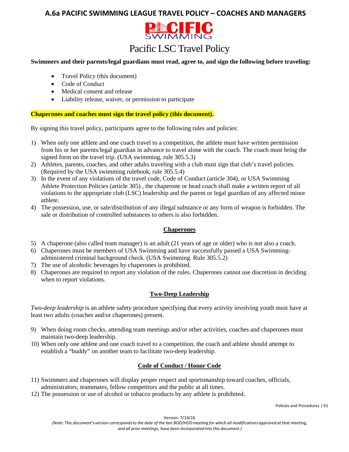# **A.6a PACIFIC SWIMMING LEAGUE TRAVEL POLICY – COACHES AND MANAGERS**



# Pacific LSC Travel Policy

#### **Swimmers and their parents/legal guardians must read, agree to, and sign the following before traveling:**

- Travel Policy (this document)
- Code of Conduct
- Medical consent and release
- Liability release, waiver, or permission to participate

#### **Chaperones and coaches must sign the travel policy (this document).**

By signing this travel policy, participants agree to the following rules and policies:

- 1) When only one athlete and one coach travel to a competition, the athlete must have written permission from his or her parents/legal guardian in advance to travel alone with the coach. The coach must bring the signed form on the travel trip. (USA swimming, rule 305.5.3)
- 2) Athletes, parents, coaches, and other adults traveling with a club must sign that club's travel policies. (Required by the USA swimming rulebook, rule 305.5.4)
- 3) In the event of any violations of the travel code, Code of Conduct (article 304), or USA Swimming Athlete Protection Policies (article 305) , the chaperone or head coach shall make a written report of all violations to the appropriate club (LSC) leadership and the parent or legal guardian of any affected minor athlete.
- 4) The possession, use, or sale/distribution of any illegal substance or any form of weapon is forbidden. The sale or distribution of controlled substances to others is also forbidden.

#### **Chaperones**

- 5) A chaperone (also called team manager) is an adult (21 years of age or older) who is not also a coach.
- 6) Chaperones must be members of USA Swimming and have successfully passed a USA Swimmingadministered criminal background check. (USA Swimming. Rule 305.5.2)
- 7) The use of alcoholic beverages by chaperones is prohibited.
- 8) Chaperones are required to report any violation of the rules. Chaperones cannot use discretion in deciding when to report violations.

#### **Two-Deep Leadership**

*Two-deep leadership* is an athlete safety procedure specifying that every activity involving youth must have at least two adults (coaches and/or chaperones) present.

- 9) When doing room checks, attending team meetings and/or other activities, coaches and chaperones must maintain two-deep leadership.
- 10) When only one athlete and one coach travel to a competition, the coach and athlete should attempt to establish a "buddy" on another team to facilitate two-deep leadership.

#### **Code of Conduct / Honor Code**

- 11) Swimmers and chaperones will display proper respect and sportsmanship toward coaches, officials, administrators, teammates, fellow competitors and the public at all times.
- 12) The possession or use of alcohol or tobacco products by any athlete is prohibited.

Version: 7/14/16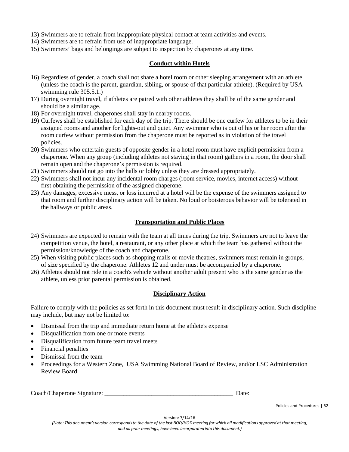- 13) Swimmers are to refrain from inappropriate physical contact at team activities and events.
- 14) Swimmers are to refrain from use of inappropriate language.
- 15) Swimmers' bags and belongings are subject to inspection by chaperones at any time.

#### **Conduct within Hotels**

- 16) Regardless of gender, a coach shall not share a hotel room or other sleeping arrangement with an athlete (unless the coach is the parent, guardian, sibling, or spouse of that particular athlete). (Required by USA swimming rule 305.5.1.)
- 17) During overnight travel, if athletes are paired with other athletes they shall be of the same gender and should be a similar age.
- 18) For overnight travel, chaperones shall stay in nearby rooms.
- 19) Curfews shall be established for each day of the trip. There should be one curfew for athletes to be in their assigned rooms and another for lights-out and quiet. Any swimmer who is out of his or her room after the room curfew without permission from the chaperone must be reported as in violation of the travel policies.
- 20) Swimmers who entertain guests of opposite gender in a hotel room must have explicit permission from a chaperone. When any group (including athletes not staying in that room) gathers in a room, the door shall remain open and the chaperone's permission is required.
- 21) Swimmers should not go into the halls or lobby unless they are dressed appropriately.
- 22) Swimmers shall not incur any incidental room charges (room service, movies, internet access) without first obtaining the permission of the assigned chaperone.
- 23) Any damages, excessive mess, or loss incurred at a hotel will be the expense of the swimmers assigned to that room and further disciplinary action will be taken. No loud or boisterous behavior will be tolerated in the hallways or public areas.

#### **Transportation and Public Places**

- 24) Swimmers are expected to remain with the team at all times during the trip. Swimmers are not to leave the competition venue, the hotel, a restaurant, or any other place at which the team has gathered without the permission/knowledge of the coach and chaperone.
- 25) When visiting public places such as shopping malls or movie theatres, swimmers must remain in groups, of size specified by the chaperone. Athletes 12 and under must be accompanied by a chaperone.
- 26) Athletes should not ride in a coach's vehicle without another adult present who is the same gender as the athlete, unless prior parental permission is obtained.

#### **Disciplinary Action**

Failure to comply with the policies as set forth in this document must result in disciplinary action. Such discipline may include, but may not be limited to:

- Dismissal from the trip and immediate return home at the athlete's expense
- Disqualification from one or more events
- Disqualification from future team travel meets
- Financial penalties
- Dismissal from the team
- Proceedings for a Western Zone, USA Swimming National Board of Review, and/or LSC Administration Review Board

Coach/Chaperone Signature: \_\_\_\_\_\_\_\_\_\_\_\_\_\_\_\_\_\_\_\_\_\_\_\_\_\_\_\_\_\_\_\_\_\_\_\_\_\_\_\_\_ Date:

Policies and Procedures | 62

Version: 7/14/16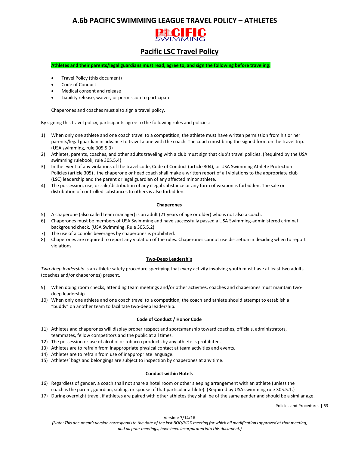# **A.6b PACIFIC SWIMMING LEAGUE TRAVEL POLICY – ATHLETES**



# **Pacific LSC Travel Policy**

**Athletes and their parents/legal guardians must read, agree to, and sign the following before traveling:**

- Travel Policy (this document)
- Code of Conduct
- Medical consent and release
- Liability release, waiver, or permission to participate

Chaperones and coaches must also sign a travel policy.

By signing this travel policy, participants agree to the following rules and policies:

- 1) When only one athlete and one coach travel to a competition, the athlete must have written permission from his or her parents/legal guardian in advance to travel alone with the coach. The coach must bring the signed form on the travel trip. (USA swimming, rule 305.5.3)
- 2) Athletes, parents, coaches, and other adults traveling with a club must sign that club's travel policies. (Required by the USA swimming rulebook, rule 305.5.4)
- 3) In the event of any violations of the travel code, Code of Conduct (article 304), or USA Swimming Athlete Protection Policies (article 305) , the chaperone or head coach shall make a written report of all violations to the appropriate club (LSC) leadership and the parent or legal guardian of any affected minor athlete.
- 4) The possession, use, or sale/distribution of any illegal substance or any form of weapon is forbidden. The sale or distribution of controlled substances to others is also forbidden.

#### **Chaperones**

- 5) A chaperone (also called team manager) is an adult (21 years of age or older) who is not also a coach.
- 6) Chaperones must be members of USA Swimming and have successfully passed a USA Swimming-administered criminal background check. (USA Swimming. Rule 305.5.2)
- 7) The use of alcoholic beverages by chaperones is prohibited.
- 8) Chaperones are required to report any violation of the rules. Chaperones cannot use discretion in deciding when to report violations.

#### **Two-Deep Leadership**

*Two-deep leadership* is an athlete safety procedure specifying that every activity involving youth must have at least two adults (coaches and/or chaperones) present.

- 9) When doing room checks, attending team meetings and/or other activities, coaches and chaperones must maintain twodeep leadership.
- 10) When only one athlete and one coach travel to a competition, the coach and athlete should attempt to establish a "buddy" on another team to facilitate two-deep leadership.

#### **Code of Conduct / Honor Code**

- 11) Athletes and chaperones will display proper respect and sportsmanship toward coaches, officials, administrators, teammates, fellow competitors and the public at all times.
- 12) The possession or use of alcohol or tobacco products by any athlete is prohibited.
- 13) Athletes are to refrain from inappropriate physical contact at team activities and events.
- 14) Athletes are to refrain from use of inappropriate language.
- 15) Athletes' bags and belongings are subject to inspection by chaperones at any time.

#### **Conduct within Hotels**

- 16) Regardless of gender, a coach shall not share a hotel room or other sleeping arrangement with an athlete (unless the coach is the parent, guardian, sibling, or spouse of that particular athlete). (Required by USA swimming rule 305.5.1.)
- 17) During overnight travel, if athletes are paired with other athletes they shall be of the same gender and should be a similar age.

Policies and Procedures | 63

Version: 7/14/16